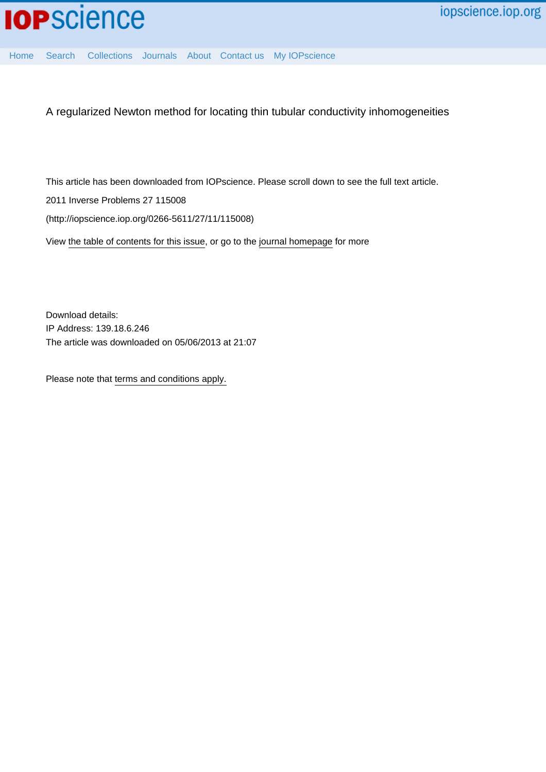

[Home](http://iopscience.iop.org/) [Search](http://iopscience.iop.org/search) [Collections](http://iopscience.iop.org/collections) [Journals](http://iopscience.iop.org/journals) [About](http://iopscience.iop.org/page/aboutioppublishing) [Contact us](http://iopscience.iop.org/contact) [My IOPscience](http://iopscience.iop.org/myiopscience)

A regularized Newton method for locating thin tubular conductivity inhomogeneities

This article has been downloaded from IOPscience. Please scroll down to see the full text article.

2011 Inverse Problems 27 115008

(http://iopscience.iop.org/0266-5611/27/11/115008)

View [the table of contents for this issue](http://iopscience.iop.org/0266-5611/27/11), or go to the [journal homepage](http://iopscience.iop.org/0266-5611) for more

Download details: IP Address: 139.18.6.246 The article was downloaded on 05/06/2013 at 21:07

Please note that [terms and conditions apply.](http://iopscience.iop.org/page/terms)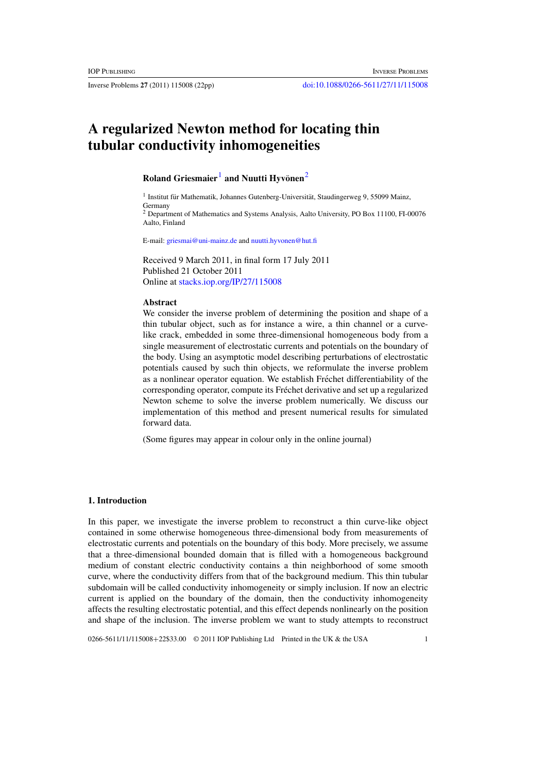# **A regularized Newton method for locating thin tubular conductivity inhomogeneities**

# **Roland Griesmaier**<sup>1</sup> **and Nuutti Hyvönen**<sup>2</sup>

 $1$  Institut für Mathematik, Johannes Gutenberg-Universität, Staudingerweg 9, 55099 Mainz, Germany

<sup>2</sup> Department of Mathematics and Systems Analysis, Aalto University, PO Box 11100, FI-00076 Aalto, Finland

E-mail: [griesmai@uni-mainz.de](mailto:griesmai@uni-mainz.de) and [nuutti.hyvonen@hut.fi](mailto:nuutti.hyvonen@hut.fi)

Received 9 March 2011, in final form 17 July 2011 Published 21 October 2011 Online at [stacks.iop.org/IP/27/115008](http://stacks.iop.org/IP/27/115008)

#### **Abstract**

We consider the inverse problem of determining the position and shape of a thin tubular object, such as for instance a wire, a thin channel or a curvelike crack, embedded in some three-dimensional homogeneous body from a single measurement of electrostatic currents and potentials on the boundary of the body. Using an asymptotic model describing perturbations of electrostatic potentials caused by such thin objects, we reformulate the inverse problem as a nonlinear operator equation. We establish Fréchet differentiability of the corresponding operator, compute its Fréchet derivative and set up a regularized Newton scheme to solve the inverse problem numerically. We discuss our implementation of this method and present numerical results for simulated forward data.

(Some figures may appear in colour only in the online journal)

# **1. Introduction**

In this paper, we investigate the inverse problem to reconstruct a thin curve-like object contained in some otherwise homogeneous three-dimensional body from measurements of electrostatic currents and potentials on the boundary of this body. More precisely, we assume that a three-dimensional bounded domain that is filled with a homogeneous background medium of constant electric conductivity contains a thin neighborhood of some smooth curve, where the conductivity differs from that of the background medium. This thin tubular subdomain will be called conductivity inhomogeneity or simply inclusion. If now an electric current is applied on the boundary of the domain, then the conductivity inhomogeneity affects the resulting electrostatic potential, and this effect depends nonlinearly on the position and shape of the inclusion. The inverse problem we want to study attempts to reconstruct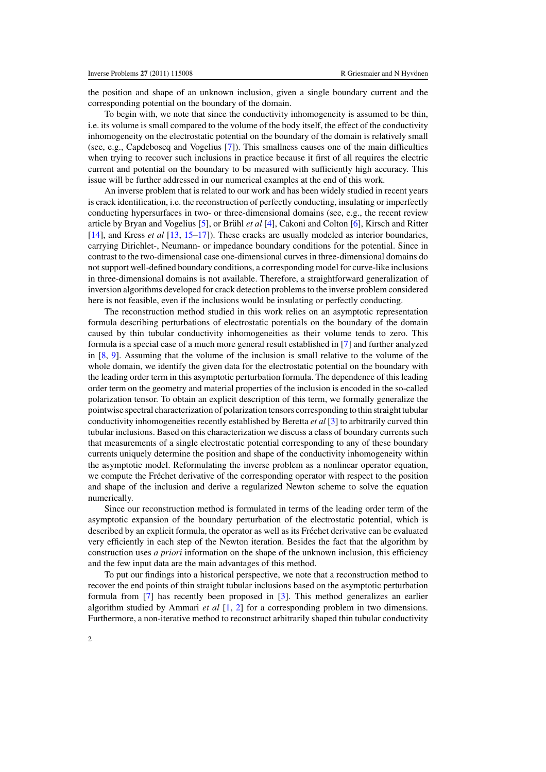the position and shape of an unknown inclusion, given a single boundary current and the corresponding potential on the boundary of the domain.

To begin with, we note that since the conductivity inhomogeneity is assumed to be thin, i.e. its volume is small compared to the volume of the body itself, the effect of the conductivity inhomogeneity on the electrostatic potential on the boundary of the domain is relatively small (see, e.g., Capdeboscq and Vogelius [\[7\]](#page-22-0)). This smallness causes one of the main difficulties when trying to recover such inclusions in practice because it first of all requires the electric current and potential on the boundary to be measured with sufficiently high accuracy. This issue will be further addressed in our numerical examples at the end of this work.

An inverse problem that is related to our work and has been widely studied in recent years is crack identification, i.e. the reconstruction of perfectly conducting, insulating or imperfectly conducting hypersurfaces in two- or three-dimensional domains (see, e.g., the recent review article by Bryan and Vogelius [\[5](#page-22-0)], or Brühl *et al* [\[4](#page-21-0)], Cakoni and Colton [\[6](#page-22-0)], Kirsch and Ritter [\[14](#page-22-0)], and Kress *et al* [\[13](#page-22-0), [15–17](#page-22-0)]). These cracks are usually modeled as interior boundaries, carrying Dirichlet-, Neumann- or impedance boundary conditions for the potential. Since in contrast to the two-dimensional case one-dimensional curves in three-dimensional domains do not support well-defined boundary conditions, a corresponding model for curve-like inclusions in three-dimensional domains is not available. Therefore, a straightforward generalization of inversion algorithms developed for crack detection problems to the inverse problem considered here is not feasible, even if the inclusions would be insulating or perfectly conducting.

The reconstruction method studied in this work relies on an asymptotic representation formula describing perturbations of electrostatic potentials on the boundary of the domain caused by thin tubular conductivity inhomogeneities as their volume tends to zero. This formula is a special case of a much more general result established in [\[7\]](#page-22-0) and further analyzed in [\[8](#page-22-0), [9](#page-22-0)]. Assuming that the volume of the inclusion is small relative to the volume of the whole domain, we identify the given data for the electrostatic potential on the boundary with the leading order term in this asymptotic perturbation formula. The dependence of this leading order term on the geometry and material properties of the inclusion is encoded in the so-called polarization tensor. To obtain an explicit description of this term, we formally generalize the pointwise spectral characterization of polarization tensors corresponding to thin straight tubular conductivity inhomogeneities recently established by Beretta *et al* [\[3](#page-21-0)] to arbitrarily curved thin tubular inclusions. Based on this characterization we discuss a class of boundary currents such that measurements of a single electrostatic potential corresponding to any of these boundary currents uniquely determine the position and shape of the conductivity inhomogeneity within the asymptotic model. Reformulating the inverse problem as a nonlinear operator equation, we compute the Fréchet derivative of the corresponding operator with respect to the position and shape of the inclusion and derive a regularized Newton scheme to solve the equation numerically.

Since our reconstruction method is formulated in terms of the leading order term of the asymptotic expansion of the boundary perturbation of the electrostatic potential, which is described by an explicit formula, the operator as well as its Fréchet derivative can be evaluated very efficiently in each step of the Newton iteration. Besides the fact that the algorithm by construction uses *a priori* information on the shape of the unknown inclusion, this efficiency and the few input data are the main advantages of this method.

To put our findings into a historical perspective, we note that a reconstruction method to recover the end points of thin straight tubular inclusions based on the asymptotic perturbation formula from [\[7](#page-22-0)] has recently been proposed in [\[3](#page-21-0)]. This method generalizes an earlier algorithm studied by Ammari *et al* [\[1,](#page-21-0) [2\]](#page-21-0) for a corresponding problem in two dimensions. Furthermore, a non-iterative method to reconstruct arbitrarily shaped thin tubular conductivity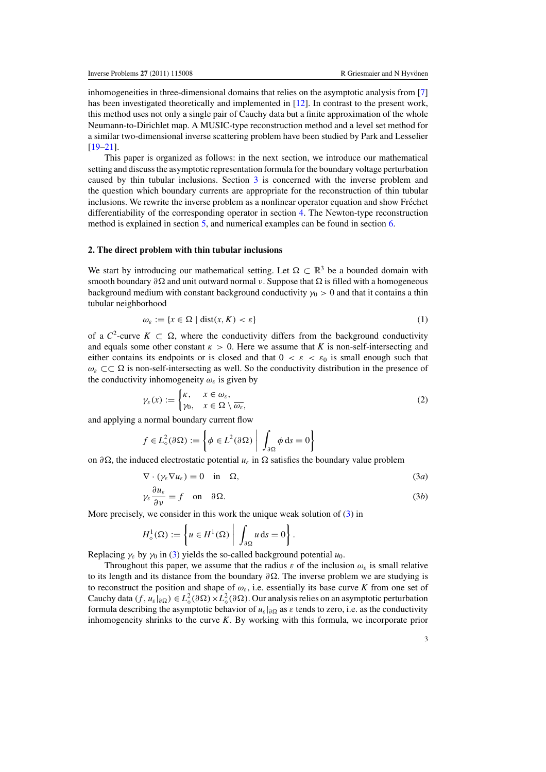<span id="page-3-0"></span>inhomogeneities in three-dimensional domains that relies on the asymptotic analysis from [\[7](#page-22-0)] has been investigated theoretically and implemented in [\[12](#page-22-0)]. In contrast to the present work, this method uses not only a single pair of Cauchy data but a finite approximation of the whole Neumann-to-Dirichlet map. A MUSIC-type reconstruction method and a level set method for a similar two-dimensional inverse scattering problem have been studied by Park and Lesselier  $[19-21]$ .

This paper is organized as follows: in the next section, we introduce our mathematical setting and discuss the asymptotic representation formula for the boundary voltage perturbation caused by thin tubular inclusions. Section [3](#page-6-0) is concerned with the inverse problem and the question which boundary currents are appropriate for the reconstruction of thin tubular inclusions. We rewrite the inverse problem as a nonlinear operator equation and show Fréchet differentiability of the corresponding operator in section [4.](#page-9-0) The Newton-type reconstruction method is explained in section [5,](#page-12-0) and numerical examples can be found in section [6.](#page-15-0)

## **2. The direct problem with thin tubular inclusions**

We start by introducing our mathematical setting. Let  $\Omega \subset \mathbb{R}^3$  be a bounded domain with smooth boundary  $\partial \Omega$  and unit outward normal v. Suppose that  $\Omega$  is filled with a homogeneous background medium with constant background conductivity  $\gamma_0 > 0$  and that it contains a thin tubular neighborhood

$$
\omega_{\varepsilon} := \{ x \in \Omega \mid \text{dist}(x, K) < \varepsilon \} \tag{1}
$$

of a  $C^2$ -curve  $K \subset \Omega$ , where the conductivity differs from the background conductivity and equals some other constant  $\kappa > 0$ . Here we assume that *K* is non-self-intersecting and either contains its endpoints or is closed and that  $0 < \varepsilon < \varepsilon_0$  is small enough such that  $\omega_{\varepsilon} \subset \subset \Omega$  is non-self-intersecting as well. So the conductivity distribution in the presence of the conductivity inhomogeneity  $\omega_{\varepsilon}$  is given by

$$
\gamma_{\varepsilon}(x) := \begin{cases} \kappa, & x \in \omega_{\varepsilon}, \\ \gamma_0, & x \in \Omega \setminus \overline{\omega_{\varepsilon}}, \end{cases}
$$
 (2)

and applying a normal boundary current flow

$$
f \in L^2_{\diamond}(\partial \Omega) := \left\{ \phi \in L^2(\partial \Omega) \middle| \int_{\partial \Omega} \phi \, \mathrm{d} s = 0 \right\}
$$

on  $\partial \Omega$ , the induced electrostatic potential *u*<sub>ε</sub> in  $\Omega$  satisfies the boundary value problem

$$
\nabla \cdot (\gamma_{\varepsilon} \nabla u_{\varepsilon}) = 0 \quad \text{in} \quad \Omega,
$$
\n(3*a*)

$$
\gamma_{\varepsilon} \frac{\partial u_{\varepsilon}}{\partial \nu} = f \quad \text{on} \quad \partial \Omega. \tag{3b}
$$

More precisely, we consider in this work the unique weak solution of (3) in

$$
H_{\diamond}^{1}(\Omega) := \left\{ u \in H^{1}(\Omega) \middle| \int_{\partial \Omega} u \, \mathrm{d} s = 0 \right\}.
$$

Replacing  $\gamma_{\varepsilon}$  by  $\gamma_0$  in (3) yields the so-called background potential  $u_0$ .

Throughout this paper, we assume that the radius  $\varepsilon$  of the inclusion  $\omega_{\varepsilon}$  is small relative to its length and its distance from the boundary  $\partial \Omega$ . The inverse problem we are studying is to reconstruct the position and shape of  $\omega_{\varepsilon}$ , i.e. essentially its base curve *K* from one set of Cauchy data  $(f, u_{\varepsilon}|_{\partial \Omega}) \in L^2_{\diamond}(\partial \Omega) \times L^2_{\diamond}(\partial \Omega)$ . Our analysis relies on an asymptotic perturbation formula describing the asymptotic behavior of  $u_{\varepsilon}|_{\partial\Omega}$  as  $\varepsilon$  tends to zero, i.e. as the conductivity inhomogeneity shrinks to the curve *K*. By working with this formula, we incorporate prior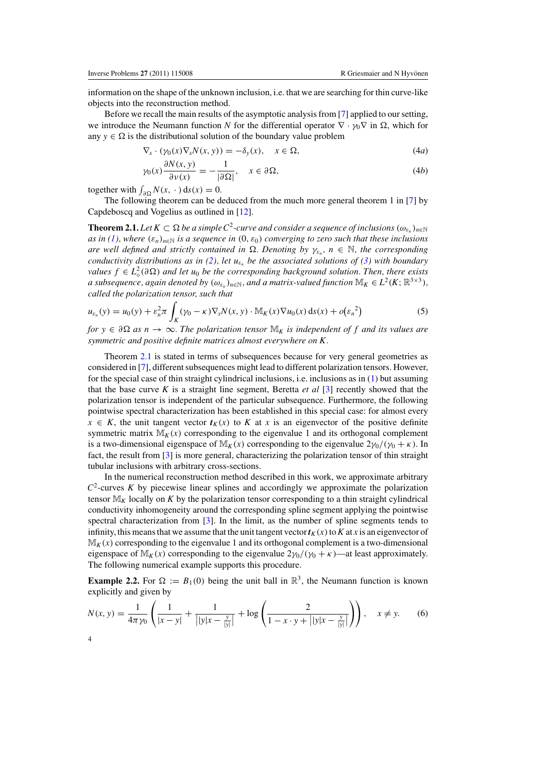<span id="page-4-0"></span>information on the shape of the unknown inclusion, i.e. that we are searching for thin curve-like objects into the reconstruction method.

Before we recall the main results of the asymptotic analysis from [\[7\]](#page-22-0) applied to our setting, we introduce the Neumann function *N* for the differential operator  $\nabla \cdot \gamma_0 \nabla$  in  $\Omega$ , which for any  $y \in \Omega$  is the distributional solution of the boundary value problem

$$
\nabla_x \cdot (\gamma_0(x) \nabla_x N(x, y)) = -\delta_y(x), \quad x \in \Omega,
$$
\n(4*a*)

$$
\gamma_0(x)\frac{\partial N(x,y)}{\partial \nu(x)} = -\frac{1}{|\partial \Omega|}, \quad x \in \partial \Omega,
$$
\n(4b)

together with  $\int_{\partial \Omega} N(x, \cdot) \, ds(x) = 0.$ 

The following theorem can be deduced from the much more general theorem 1 in [\[7\]](#page-22-0) by Capdeboscq and Vogelius as outlined in [\[12\]](#page-22-0).

**Theorem 2.1.** Let  $K \subset \Omega$  be a simple  $C^2$ -curve and consider a sequence of inclusions  $(\omega_{\varepsilon_n})_{n\in\mathbb{N}}$ *as in [\(1\)](#page-3-0)*, where  $(\varepsilon_n)_{n\in\mathbb{N}}$  *is a sequence in*  $(0, \varepsilon_0)$  *converging to zero such that these inclusions*  $\alpha$  *are well defined and strictly contained in*  $\Omega$ . Denoting by  $\gamma_{\varepsilon_n}$ ,  $n \in \mathbb{N}$ , the corresponding *conductivity distributions as in [\(2\)](#page-3-0), let*  $u_{\varepsilon_n}$  *be the associated solutions of [\(3\)](#page-3-0) with boundary values*  $f \in L^2_{\diamond}(\partial \Omega)$  *and let u*<sub>0</sub> *be the corresponding background solution. Then, there exists a* subsequence, again denoted by  $(\omega_{\varepsilon_n})_{n \in \mathbb{N}}$ , and a matrix-valued function  $\mathbb{M}_K \in L^2(K; \mathbb{R}^{3 \times 3})$ , *called the polarization tensor, such that*

$$
u_{\varepsilon_n}(y) = u_0(y) + \varepsilon_n^2 \pi \int_K (\gamma_0 - \kappa) \nabla_x N(x, y) \cdot \mathbb{M}_K(x) \nabla u_0(x) \, \mathrm{d} s(x) + o(\varepsilon_n^2) \tag{5}
$$

 $for y \in \partial\Omega$  *as*  $n \to \infty$ . The polarization tensor  $\mathbb{M}_K$  is independent of f and its values are *symmetric and positive definite matrices almost everywhere on K.*

Theorem 2.1 is stated in terms of subsequences because for very general geometries as considered in [\[7\]](#page-22-0), different subsequences might lead to different polarization tensors. However, for the special case of thin straight cylindrical inclusions, i.e. inclusions as in [\(1\)](#page-3-0) but assuming that the base curve *K* is a straight line segment, Beretta *et al* [\[3\]](#page-21-0) recently showed that the polarization tensor is independent of the particular subsequence. Furthermore, the following pointwise spectral characterization has been established in this special case: for almost every  $x \in K$ , the unit tangent vector  $t_K(x)$  to *K* at *x* is an eigenvector of the positive definite symmetric matrix  $M_K(x)$  corresponding to the eigenvalue 1 and its orthogonal complement is a two-dimensional eigenspace of  $M_K(x)$  corresponding to the eigenvalue  $2\gamma_0/(\gamma_0 + \kappa)$ . In fact, the result from [\[3](#page-21-0)] is more general, characterizing the polarization tensor of thin straight tubular inclusions with arbitrary cross-sections.

In the numerical reconstruction method described in this work, we approximate arbitrary  $C<sup>2</sup>$ -curves *K* by piecewise linear splines and accordingly we approximate the polarization tensor  $M_K$  locally on K by the polarization tensor corresponding to a thin straight cylindrical conductivity inhomogeneity around the corresponding spline segment applying the pointwise spectral characterization from [\[3](#page-21-0)]. In the limit, as the number of spline segments tends to infinity, this means that we assume that the unit tangent vector  $t_K(x)$  to  $K$  at  $x$  is an eigenvector of  $\mathbb{M}_{K}(x)$  corresponding to the eigenvalue 1 and its orthogonal complement is a two-dimensional eigenspace of  $M_K(x)$  corresponding to the eigenvalue  $2\gamma_0/(\gamma_0 + \kappa)$ —at least approximately. The following numerical example supports this procedure.

**Example 2.2.** For  $\Omega := B_1(0)$  being the unit ball in  $\mathbb{R}^3$ , the Neumann function is known explicitly and given by

$$
N(x, y) = \frac{1}{4\pi y_0} \left( \frac{1}{|x - y|} + \frac{1}{|y|x - \frac{y}{|y|}|} + \log \left( \frac{2}{1 - x \cdot y + |y|x - \frac{y}{|y|}} \right) \right), \quad x \neq y.
$$
 (6)

4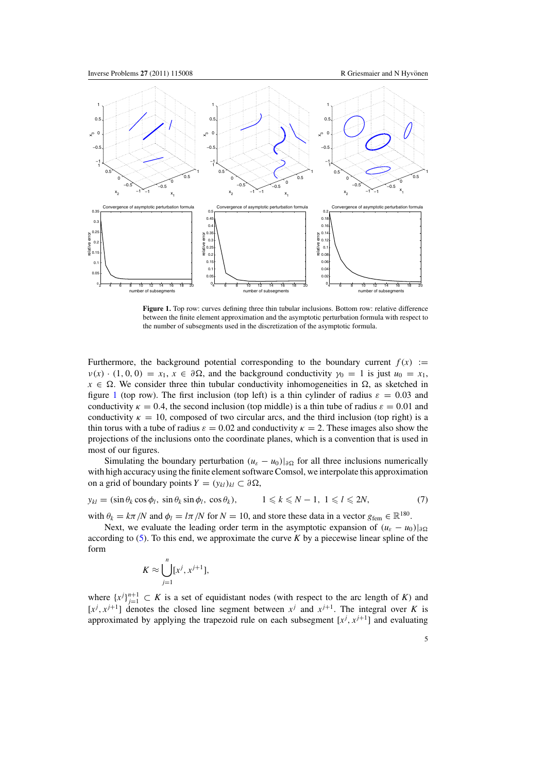<span id="page-5-0"></span>

Figure 1. Top row: curves defining three thin tubular inclusions. Bottom row: relative difference between the finite element approximation and the asymptotic perturbation formula with respect to the number of subsegments used in the discretization of the asymptotic formula.

Furthermore, the background potential corresponding to the boundary current  $f(x) :=$  $v(x) \cdot (1, 0, 0) = x_1, x \in \partial \Omega$ , and the background conductivity  $\gamma_0 = 1$  is just  $u_0 = x_1$ ,  $x \in \Omega$ . We consider three thin tubular conductivity inhomogeneities in  $\Omega$ , as sketched in figure 1 (top row). The first inclusion (top left) is a thin cylinder of radius  $\varepsilon = 0.03$  and conductivity  $\kappa = 0.4$ , the second inclusion (top middle) is a thin tube of radius  $\varepsilon = 0.01$  and conductivity  $\kappa = 10$ , composed of two circular arcs, and the third inclusion (top right) is a thin torus with a tube of radius  $\varepsilon = 0.02$  and conductivity  $\kappa = 2$ . These images also show the projections of the inclusions onto the coordinate planes, which is a convention that is used in most of our figures.

Simulating the boundary perturbation  $(u_{\varepsilon} - u_0)|_{\partial \Omega}$  for all three inclusions numerically with high accuracy using the finite element software Comsol, we interpolate this approximation on a grid of boundary points  $Y = (y_{kl})_{kl} \subset \partial \Omega$ ,

$$
y_{kl} = (\sin \theta_k \cos \phi_l, \, \sin \theta_k \sin \phi_l, \, \cos \theta_k), \qquad 1 \leq k \leq N - 1, \, 1 \leq l \leq 2N,\tag{7}
$$

with  $\theta_k = k\pi/N$  and  $\phi_l = l\pi/N$  for  $N = 10$ , and store these data in a vector  $g_{\text{fem}} \in \mathbb{R}^{180}$ .

Next, we evaluate the leading order term in the asymptotic expansion of  $(u_{\varepsilon} - u_0)|_{\partial\Omega}$ according to  $(5)$ . To this end, we approximate the curve  $K$  by a piecewise linear spline of the form

$$
K \approx \bigcup_{j=1}^n [x^j, x^{j+1}],
$$

where  $\{x^j\}_{j=1}^{n+1} \subset K$  is a set of equidistant nodes (with respect to the arc length of *K*) and  $[x^j, x^{j+1}]$  denotes the closed line segment between  $x^j$  and  $x^{j+1}$ . The integral over *K* is approximated by applying the trapezoid rule on each subsegment  $[x^j, x^{j+1}]$  and evaluating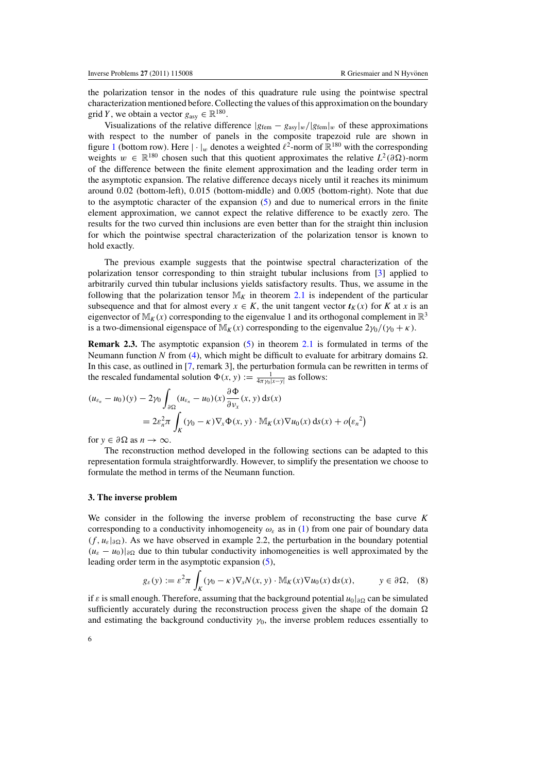<span id="page-6-0"></span>the polarization tensor in the nodes of this quadrature rule using the pointwise spectral characterization mentioned before. Collecting the values of this approximation on the boundary grid *Y*, we obtain a vector  $g_{\text{asy}} \in \mathbb{R}^{180}$ .

Visualizations of the relative difference  $|g_{\text{fem}} - g_{\text{asy}}|_{w}/|g_{\text{fem}}|_{w}$  of these approximations with respect to the number of panels in the composite trapezoid rule are shown in figure [1](#page-5-0) (bottom row). Here  $|\cdot|_w$  denotes a weighted  $\ell^2$ -norm of  $\mathbb{R}^{180}$  with the corresponding weights  $w \in \mathbb{R}^{180}$  chosen such that this quotient approximates the relative  $L^2(\partial\Omega)$ -norm of the difference between the finite element approximation and the leading order term in the asymptotic expansion. The relative difference decays nicely until it reaches its minimum around 0.02 (bottom-left), 0.015 (bottom-middle) and 0.005 (bottom-right). Note that due to the asymptotic character of the expansion [\(5\)](#page-4-0) and due to numerical errors in the finite element approximation, we cannot expect the relative difference to be exactly zero. The results for the two curved thin inclusions are even better than for the straight thin inclusion for which the pointwise spectral characterization of the polarization tensor is known to hold exactly.

The previous example suggests that the pointwise spectral characterization of the polarization tensor corresponding to thin straight tubular inclusions from [\[3\]](#page-21-0) applied to arbitrarily curved thin tubular inclusions yields satisfactory results. Thus, we assume in the following that the polarization tensor  $M_K$  in theorem [2.1](#page-4-0) is independent of the particular subsequence and that for almost every  $x \in K$ , the unit tangent vector  $t_K(x)$  for *K* at *x* is an eigenvector of  $M_K(x)$  corresponding to the eigenvalue 1 and its orthogonal complement in  $\mathbb{R}^3$ is a two-dimensional eigenspace of  $M_K(x)$  corresponding to the eigenvalue  $2\gamma_0/(\gamma_0 + \kappa)$ .

**Remark 2.3.** The asymptotic expansion [\(5\)](#page-4-0) in theorem [2.1](#page-4-0) is formulated in terms of the Neumann function N from [\(4\)](#page-3-0), which might be difficult to evaluate for arbitrary domains  $\Omega$ . In this case, as outlined in [\[7](#page-22-0), remark 3], the perturbation formula can be rewritten in terms of the rescaled fundamental solution  $\Phi(x, y) := \frac{1}{4\pi y_0 |x-y|}$  as follows:

$$
(u_{\varepsilon_n} - u_0)(y) - 2\gamma_0 \int_{\partial\Omega} (u_{\varepsilon_n} - u_0)(x) \frac{\partial \Phi}{\partial v_x}(x, y) \, ds(x)
$$
  
=  $2\varepsilon_n^2 \pi \int_K (\gamma_0 - \kappa) \nabla_x \Phi(x, y) \cdot M_K(x) \nabla u_0(x) \, ds(x) + o(\varepsilon_n^2)$ 

for  $y \in \partial \Omega$  as  $n \to \infty$ .

The reconstruction method developed in the following sections can be adapted to this representation formula straightforwardly. However, to simplify the presentation we choose to formulate the method in terms of the Neumann function.

# **3. The inverse problem**

We consider in the following the inverse problem of reconstructing the base curve *K* corresponding to a conductivity inhomogeneity  $\omega_{\varepsilon}$  as in [\(1\)](#page-3-0) from one pair of boundary data  $(f, u_{\varepsilon}|_{\partial\Omega})$ . As we have observed in example 2.2, the perturbation in the boundary potential  $(u_{\varepsilon} - u_0)|_{\partial \Omega}$  due to thin tubular conductivity inhomogeneities is well approximated by the leading order term in the asymptotic expansion [\(5\)](#page-4-0),

$$
g_{\varepsilon}(y) := \varepsilon^2 \pi \int_K (\gamma_0 - \kappa) \nabla_x N(x, y) \cdot \mathbb{M}_K(x) \nabla u_0(x) \, \mathrm{d} s(x), \qquad y \in \partial \Omega, \tag{8}
$$

if  $\varepsilon$  is small enough. Therefore, assuming that the background potential  $u_0|_{\partial\Omega}$  can be simulated sufficiently accurately during the reconstruction process given the shape of the domain  $\Omega$ and estimating the background conductivity  $\gamma_0$ , the inverse problem reduces essentially to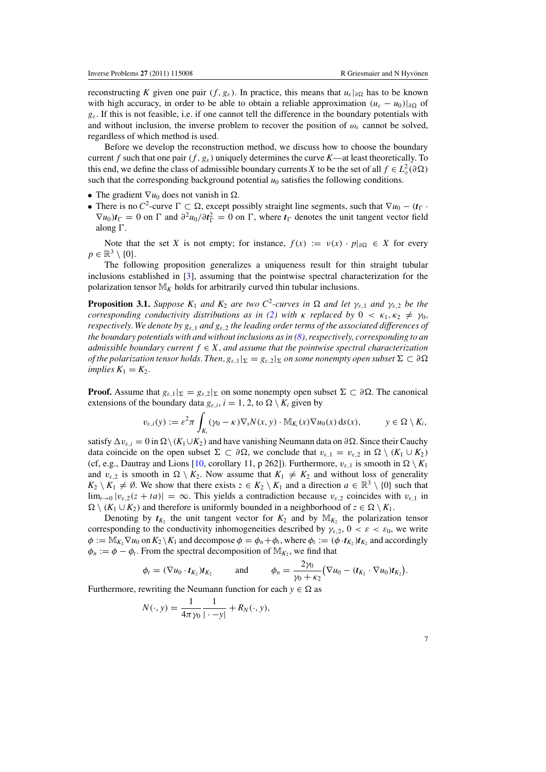reconstructing *K* given one pair  $(f, g_{\varepsilon})$ . In practice, this means that  $u_{\varepsilon}|_{\partial\Omega}$  has to be known with high accuracy, in order to be able to obtain a reliable approximation  $(u_{\varepsilon} - u_0)|_{\partial \Omega}$  of *g*ε. If this is not feasible, i.e. if one cannot tell the difference in the boundary potentials with and without inclusion, the inverse problem to recover the position of  $\omega_{\varepsilon}$  cannot be solved, regardless of which method is used.

Before we develop the reconstruction method, we discuss how to choose the boundary current *f* such that one pair  $(f, g_s)$  uniquely determines the curve *K*—at least theoretically. To this end, we define the class of admissible boundary currents *X* to be the set of all  $f \in L^2_\diamond(\partial \Omega)$ such that the corresponding background potential  $u_0$  satisfies the following conditions.

- The gradient  $\nabla u_0$  does not vanish in  $\Omega$ .
- There is no C<sup>2</sup>-curve  $\Gamma \subset \Omega$ , except possibly straight line segments, such that  $\nabla u_0 (t_\Gamma \cdot \Omega)$  $\nabla u_0$ ) $t_\Gamma = 0$  on  $\Gamma$  and  $\partial^2 u_0 / \partial t_\Gamma^2 = 0$  on  $\Gamma$ , where  $t_\Gamma$  denotes the unit tangent vector field along  $\Gamma$ .

Note that the set *X* is not empty; for instance,  $f(x) := v(x) \cdot p|_{\partial \Omega} \in X$  for every  $p \in \mathbb{R}^3 \setminus \{0\}.$ 

The following proposition generalizes a uniqueness result for thin straight tubular inclusions established in [\[3](#page-21-0)], assuming that the pointwise spectral characterization for the polarization tensor  $M_K$  holds for arbitrarily curved thin tubular inclusions.

**Proposition 3.1.** *Suppose*  $K_1$  *and*  $K_2$  *are two*  $C^2$ -curves *in*  $\Omega$  *and* let  $\gamma_{\varepsilon,1}$  *and*  $\gamma_{\varepsilon,2}$  *be the corresponding conductivity distributions as in [\(2\)](#page-3-0)* with  $\kappa$  *replaced by*  $0 \lt \kappa_1, \kappa_2 \neq \gamma_0$ , *respectively. We denote by g*ε,<sup>1</sup> *and g*ε,<sup>2</sup> *the leading order terms of the associated differences of the boundary potentials with and without inclusions as in [\(8\)](#page-6-0), respectively, corresponding to an admissible boundary current*  $f \in X$ *, and assume that the pointwise spectral characterization of the polarization tensor holds. Then,*  $g_{\varepsilon,1}|_{\Sigma} = g_{\varepsilon,2}|_{\Sigma}$  *on some nonempty open subset*  $\Sigma \subset \partial \Omega$ *implies*  $K_1 = K_2$ *.* 

**Proof.** Assume that  $g_{\varepsilon,1}|_{\Sigma} = g_{\varepsilon,2}|_{\Sigma}$  on some nonempty open subset  $\Sigma \subset \partial \Omega$ . The canonical extensions of the boundary data  $g_{\varepsilon,i}$ ,  $i = 1, 2$ , to  $\Omega \setminus K_i$  given by

$$
v_{\varepsilon,i}(y) := \varepsilon^2 \pi \int_{K_i} (\gamma_0 - \kappa) \nabla_x N(x, y) \cdot \mathbb{M}_{K_i}(x) \nabla u_0(x) \, \mathrm{d} s(x), \qquad y \in \Omega \setminus K_i,
$$

satisfy  $\Delta v_{\varepsilon,i} = 0$  in  $\Omega \setminus (K_1 \cup K_2)$  and have vanishing Neumann data on  $\partial \Omega$ . Since their Cauchy data coincide on the open subset  $\Sigma \subset \partial \Omega$ , we conclude that  $v_{\varepsilon,1} = v_{\varepsilon,2}$  in  $\Omega \setminus (K_1 \cup K_2)$ (cf, e.g., Dautray and Lions [\[10](#page-22-0), corollary 11, p 262]). Furthermore,  $v_{\varepsilon,1}$  is smooth in  $\Omega \setminus K_1$ and  $v_{\varepsilon,2}$  is smooth in  $\Omega \setminus K_2$ . Now assume that  $K_1 \neq K_2$  and without loss of generality  $K_2 \setminus K_1 \neq \emptyset$ . We show that there exists  $z \in K_2 \setminus K_1$  and a direction  $a \in \mathbb{R}^3 \setminus \{0\}$  such that  $\lim_{t\to 0} |v_{\varepsilon,2}(z+ta)|=\infty$ . This yields a contradiction because  $v_{\varepsilon,2}$  coincides with  $v_{\varepsilon,1}$  in  $\Omega \setminus (K_1 \cup K_2)$  and therefore is uniformly bounded in a neighborhood of  $z \in \Omega \setminus K_1$ .

Denoting by  $t_K$ , the unit tangent vector for  $K_2$  and by  $\mathbb{M}_K$ , the polarization tensor corresponding to the conductivity inhomogeneities described by  $\gamma_{\varepsilon,2}$ ,  $0 < \varepsilon < \varepsilon_0$ , we write  $\phi := \mathbb{M}_{K} \nabla u_0$  on  $K_2 \backslash K_1$  and decompose  $\phi = \phi_n + \phi_t$ , where  $\phi_t := (\phi \cdot t_{K_2}) t_{K_2}$  and accordingly  $\phi_n := \phi - \phi_t$ . From the spectral decomposition of  $\mathbb{M}_{K_2}$ , we find that

$$
\phi_t = (\nabla u_0 \cdot \boldsymbol{t}_{K_2}) \boldsymbol{t}_{K_2} \quad \text{and} \quad \phi_n = \frac{2\gamma_0}{\gamma_0 + \kappa_2} (\nabla u_0 - (\boldsymbol{t}_{K_2} \cdot \nabla u_0) \boldsymbol{t}_{K_2}).
$$

Furthermore, rewriting the Neumann function for each  $y \in \Omega$  as

$$
N(\cdot, y) = \frac{1}{4\pi\gamma_0} \frac{1}{|\cdot - y|} + R_N(\cdot, y),
$$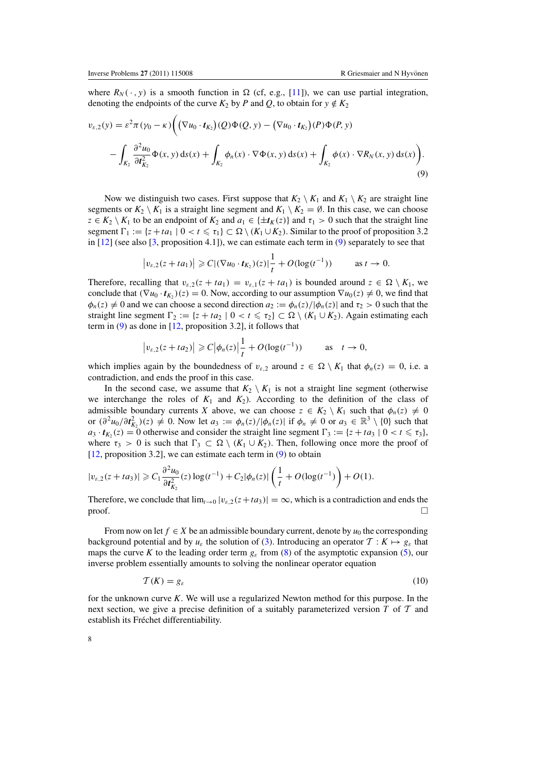<span id="page-8-0"></span>where  $R_N(\cdot, y)$  is a smooth function in  $\Omega$  (cf, e.g., [\[11\]](#page-22-0)), we can use partial integration, denoting the endpoints of the curve  $K_2$  by *P* and *Q*, to obtain for  $y \notin K_2$ 

$$
v_{\varepsilon,2}(y) = \varepsilon^2 \pi (\gamma_0 - \kappa) \Big( \big( \nabla u_0 \cdot t_{K_2} \big) (Q) \Phi(Q, y) - \big( \nabla u_0 \cdot t_{K_2} \big) (P) \Phi(P, y) - \int_{K_2} \frac{\partial^2 u_0}{\partial t_{K_2}^2} \Phi(x, y) \, ds(x) + \int_{K_2} \phi_n(x) \cdot \nabla \Phi(x, y) \, ds(x) + \int_{K_2} \phi(x) \cdot \nabla R_N(x, y) \, ds(x) \Big). \tag{9}
$$

Now we distinguish two cases. First suppose that  $K_2 \setminus K_1$  and  $K_1 \setminus K_2$  are straight line segments or  $K_2 \setminus K_1$  is a straight line segment and  $K_1 \setminus K_2 = \emptyset$ . In this case, we can choose *z* ∈ *K*<sub>2</sub> \ *K*<sub>1</sub> to be an endpoint of *K*<sub>2</sub> and *a*<sub>1</sub> ∈ { $\pm t_K(z)$ } and  $\tau_1 > 0$  such that the straight line segment  $\Gamma_1 := \{z + ta_1 \mid 0 < t \leq \tau_1\} \subset \Omega \setminus (K_1 \cup K_2)$ . Similar to the proof of proposition 3.2 in  $[12]$  $[12]$  (see also  $[3,$  proposition 4.1]), we can estimate each term in  $(9)$  separately to see that

$$
|v_{\varepsilon,2}(z+ta_1)| \geq C |(\nabla u_0 \cdot t_{K_2})(z)| \frac{1}{t} + O(\log(t^{-1}))
$$
 as  $t \to 0$ .

Therefore, recalling that  $v_{\varepsilon,2}(z + ta_1) = v_{\varepsilon,1}(z + ta_1)$  is bounded around  $z \in \Omega \setminus K_1$ , we conclude that  $(\nabla u_0 \cdot t_{K_2})(z) = 0$ . Now, according to our assumption  $\nabla u_0(z) \neq 0$ , we find that  $\phi_n(z) \neq 0$  and we can choose a second direction  $a_2 := \phi_n(z)/|\phi_n(z)|$  and  $\tau_2 > 0$  such that the straight line segment  $\Gamma_2 := \{z + ta_2 \mid 0 < t \leq \tau_2\} \subset \Omega \setminus (K_1 \cup K_2)$ . Again estimating each term in (9) as done in [\[12](#page-22-0), proposition 3.2], it follows that

$$
\left|v_{\varepsilon,2}(z+t a_2)\right| \geqslant C\left|\phi_n(z)\right|\frac{1}{t}+O(\log(t^{-1})) \quad \text{as} \quad t \to 0,
$$

which implies again by the boundedness of  $v_{\varepsilon,2}$  around  $z \in \Omega \setminus K_1$  that  $\phi_n(z) = 0$ , i.e. a contradiction, and ends the proof in this case.

In the second case, we assume that  $K_2 \setminus K_1$  is not a straight line segment (otherwise we interchange the roles of  $K_1$  and  $K_2$ ). According to the definition of the class of admissible boundary currents *X* above, we can choose  $z \in K_2 \setminus K_1$  such that  $\phi_n(z) \neq 0$ or  $(\partial^2 u_0 / \partial t_{K_2}^2)(z) \neq 0$ . Now let  $a_3 := \phi_n(z) / |\phi_n(z)|$  if  $\phi_n \neq 0$  or  $a_3 \in \mathbb{R}^3 \setminus \{0\}$  such that  $a_3 \cdot t_{K_2}(z) = 0$  otherwise and consider the straight line segment  $\Gamma_3 := \{z + ta_3 \mid 0 < t \leq \tau_3\}$ , where  $\tau_3 > 0$  is such that  $\Gamma_3 \subset \Omega \setminus (K_1 \cup K_2)$ . Then, following once more the proof of [\[12](#page-22-0), proposition 3.2], we can estimate each term in (9) to obtain

$$
|v_{\varepsilon,2}(z+t a_3)| \geqslant C_1 \frac{\partial^2 u_0}{\partial t_{K_2}^2}(z) \log(t^{-1}) + C_2 |\phi_n(z)| \left(\frac{1}{t} + O(\log(t^{-1}))\right) + O(1).
$$

Therefore, we conclude that  $\lim_{t\to 0} |v_{\epsilon,2}(z+ta_3)| = \infty$ , which is a contradiction and ends the  $\Box$ 

From now on let  $f \in X$  be an admissible boundary current, denote by  $u_0$  the corresponding background potential and by  $u_{\varepsilon}$  the solution of [\(3\)](#page-3-0). Introducing an operator  $\mathcal{T}: K \mapsto g_{\varepsilon}$  that maps the curve *K* to the leading order term  $g_{\varepsilon}$  from [\(8\)](#page-6-0) of the asymptotic expansion [\(5\)](#page-4-0), our inverse problem essentially amounts to solving the nonlinear operator equation

$$
\mathcal{T}(K) = g_{\varepsilon} \tag{10}
$$

for the unknown curve *K*. We will use a regularized Newton method for this purpose. In the next section, we give a precise definition of a suitably parameterized version *T* of T and establish its Fréchet differentiability.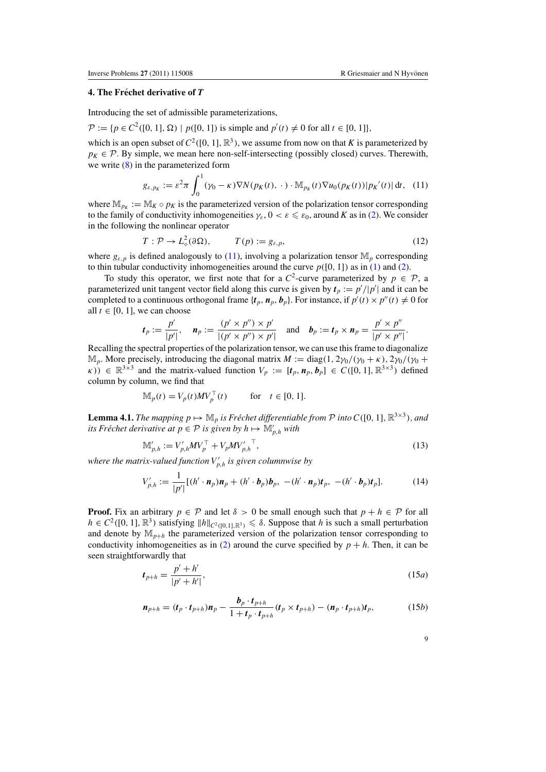# <span id="page-9-0"></span>**4. The Frechet derivative of ´** *T*

Introducing the set of admissible parameterizations,

 $P := {p ∈ C<sup>2</sup>([0, 1], Ω) | p([0, 1]) is simple and p'(t) ≠ 0 for all t ∈ [0, 1]},$ 

which is an open subset of  $C^2([0, 1], \mathbb{R}^3)$ , we assume from now on that *K* is parameterized by  $p_K \in \mathcal{P}$ . By simple, we mean here non-self-intersecting (possibly closed) curves. Therewith, we write [\(8\)](#page-6-0) in the parameterized form

$$
g_{\varepsilon, p_K} := \varepsilon^2 \pi \int_0^1 (\gamma_0 - \kappa) \nabla N(p_K(t), \cdot) \cdot \mathbb{M}_{p_K}(t) \nabla u_0(p_K(t)) |p_K'(t)| dt, \quad (11)
$$

where  $\mathbb{M}_{p_K} := \mathbb{M}_K \circ p_K$  is the parameterized version of the polarization tensor corresponding to the family of conductivity inhomogeneities  $\gamma_{\varepsilon}$ ,  $0 < \varepsilon \leq \varepsilon_0$ , around *K* as in [\(2\)](#page-3-0). We consider in the following the nonlinear operator

$$
T: \mathcal{P} \to L^2_{\diamond}(\partial \Omega), \qquad T(p) := g_{\varepsilon, p}, \qquad (12)
$$

where  $g_{\varepsilon, p}$  is defined analogously to (11), involving a polarization tensor  $\mathbb{M}_p$  corresponding to thin tubular conductivity inhomogeneities around the curve  $p([0, 1])$  as in [\(1\)](#page-3-0) and [\(2\)](#page-3-0).

To study this operator, we first note that for a  $C^2$ -curve parameterized by  $p \in \mathcal{P}$ , a parameterized unit tangent vector field along this curve is given by  $t_p := p'/|p'|$  and it can be completed to a continuous orthogonal frame  $\{t_p, n_p, b_p\}$ . For instance, if  $p'(t) \times p''(t) \neq 0$  for all  $t \in [0, 1]$ , we can choose

$$
\boldsymbol{t}_p := \frac{p'}{|p'|}, \quad \boldsymbol{n}_p := \frac{(p' \times p'') \times p'}{|(p' \times p'') \times p'|} \quad \text{and} \quad \boldsymbol{b}_p := \boldsymbol{t}_p \times \boldsymbol{n}_p = \frac{p' \times p''}{|p' \times p''|}.
$$

Recalling the spectral properties of the polarization tensor, we can use this frame to diagonalize  $\mathbb{M}_p$ . More precisely, introducing the diagonal matrix  $M := diag(1, 2\gamma_0/(\gamma_0 + \kappa), 2\gamma_0/(\gamma_0 +$  $F(x)$   $\in \mathbb{R}^{3\times3}$  and the matrix-valued function  $V_p := [t_p, n_p, b_p] \in C([0, 1], \mathbb{R}^{3\times3})$  defined column by column, we find that

$$
\mathbb{M}_p(t) = V_p(t)MV_p^{\top}(t) \quad \text{for} \quad t \in [0, 1].
$$

**Lemma 4.1.** *The mapping*  $p \mapsto \mathbb{M}_p$  *is Fréchet differentiable from*  $\mathcal P$  *<i>into*  $C([0, 1], \mathbb{R}^{3 \times 3})$ *, and its Fréchet derivative at*  $p \in \mathcal{P}$  *is given by h*  $\mapsto \mathbb{M}_{p,h}'$  *with* 

$$
\mathbb{M}'_{p,h} := V'_{p,h} M V_p^{\top} + V_p M V'_{p,h}^{\top},\tag{13}
$$

*where the matrix-valued function V <sup>p</sup>*,*<sup>h</sup> is given columnwise by*

$$
V'_{p,h} := \frac{1}{|p'|} [(h' \cdot \mathbf{n}_p) \mathbf{n}_p + (h' \cdot \mathbf{b}_p) \mathbf{b}_p, -(h' \cdot \mathbf{n}_p) \mathbf{t}_p, -(h' \cdot \mathbf{b}_p) \mathbf{t}_p].
$$
 (14)

**Proof.** Fix an arbitrary  $p \in \mathcal{P}$  and let  $\delta > 0$  be small enough such that  $p + h \in \mathcal{P}$  for all  $h \in C^2([0, 1], \mathbb{R}^3)$  satisfying  $||h||_{C^2([0, 1], \mathbb{R}^3)} \le \delta$ . Suppose that *h* is such a small perturbation and denote by  $\mathbb{M}_{p+h}$  the parameterized version of the polarization tensor corresponding to conductivity inhomogeneities as in [\(2\)](#page-3-0) around the curve specified by  $p + h$ . Then, it can be seen straightforwardly that

$$
t_{p+h} = \frac{p' + h'}{|p' + h'|},
$$
\n(15*a*)

$$
\boldsymbol{n}_{p+h} = (\boldsymbol{t}_p \cdot \boldsymbol{t}_{p+h}) \boldsymbol{n}_p - \frac{\boldsymbol{b}_p \cdot \boldsymbol{t}_{p+h}}{1 + \boldsymbol{t}_p \cdot \boldsymbol{t}_{p+h}} (\boldsymbol{t}_p \times \boldsymbol{t}_{p+h}) - (\boldsymbol{n}_p \cdot \boldsymbol{t}_{p+h}) \boldsymbol{t}_p, \tag{15b}
$$

9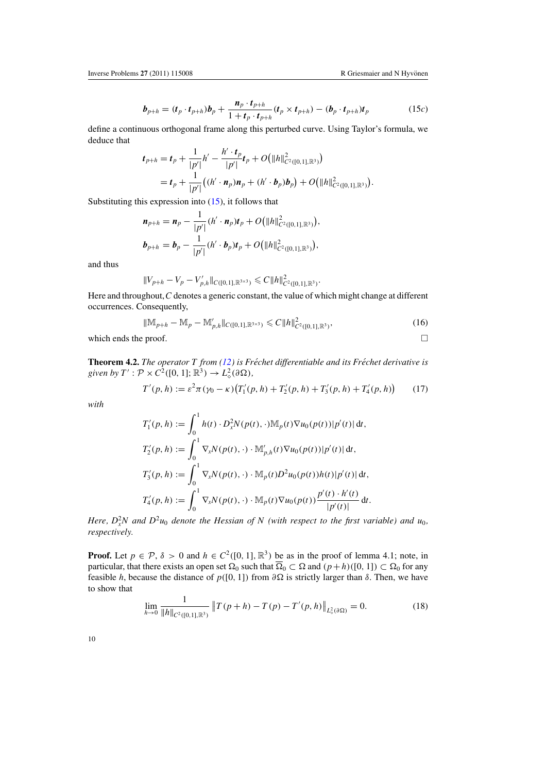$$
\boldsymbol{b}_{p+h} = (\boldsymbol{t}_p \cdot \boldsymbol{t}_{p+h}) \boldsymbol{b}_p + \frac{\boldsymbol{n}_p \cdot \boldsymbol{t}_{p+h}}{1 + \boldsymbol{t}_p \cdot \boldsymbol{t}_{p+h}} (\boldsymbol{t}_p \times \boldsymbol{t}_{p+h}) - (\boldsymbol{b}_p \cdot \boldsymbol{t}_{p+h}) \boldsymbol{t}_p
$$
(15c)

<span id="page-10-0"></span>define a continuous orthogonal frame along this perturbed curve. Using Taylor's formula, we deduce that

$$
t_{p+h} = t_p + \frac{1}{|p'|}h' - \frac{h' \cdot t_p}{|p'|}t_p + O\big(\|h\|_{C^2([0,1],\mathbb{R}^3)}^2\big)
$$
  
=  $t_p + \frac{1}{|p'|}\big((h' \cdot n_p)n_p + (h' \cdot b_p)b_p\big) + O\big(\|h\|_{C^2([0,1],\mathbb{R}^3)}^2\big).$ 

Substituting this expression into [\(15\)](#page-9-0), it follows that

$$
\begin{aligned} \boldsymbol{n}_{p+h} &= \boldsymbol{n}_p - \frac{1}{|p'|} (h' \cdot \boldsymbol{n}_p) \boldsymbol{t}_p + O\big(\|h\|_{C^2([0,1],\mathbb{R}^3)}^2\big), \\ \boldsymbol{b}_{p+h} &= \boldsymbol{b}_p - \frac{1}{|p'|} (h' \cdot \boldsymbol{b}_p) \boldsymbol{t}_p + O\big(\|h\|_{C^2([0,1],\mathbb{R}^3)}^2\big), \end{aligned}
$$

and thus

$$
||V_{p+h} - V_p - V'_{p,h}||_{C([0,1],\mathbb{R}^{3\times 3})} \leq C||h||^2_{C^2([0,1],\mathbb{R}^3)}.
$$

Here and throughout, *C* denotes a generic constant, the value of which might change at different occurrences. Consequently,

$$
\|\mathbb{M}_{p+h} - \mathbb{M}_p - \mathbb{M}'_{p,h}\|_{C([0,1],\mathbb{R}^{3\times 3})} \leq C \|h\|_{C^2([0,1],\mathbb{R}^3)}^2,
$$
\n(16)

which ends the proof.  $\Box$ 

**Theorem 4.2.** *The operator T from [\(12\)](#page-9-0) is Fréchet differentiable and its Fréchet derivative is* given by  $T': \mathcal{P} \times C^2([0, 1]; \mathbb{R}^3) \to L^2_\diamond(\partial \Omega)$ ,

$$
T'(p, h) := \varepsilon^2 \pi (\gamma_0 - \kappa) \big( T'_1(p, h) + T'_2(p, h) + T'_3(p, h) + T'_4(p, h) \big) \tag{17}
$$

*with*

$$
T'_{1}(p, h) := \int_{0}^{1} h(t) \cdot D_{x}^{2} N(p(t), \cdot) \mathbb{M}_{p}(t) \nabla u_{0}(p(t)) |p'(t)| dt,
$$
  
\n
$$
T'_{2}(p, h) := \int_{0}^{1} \nabla_{x} N(p(t), \cdot) \cdot \mathbb{M}'_{p,h}(t) \nabla u_{0}(p(t)) |p'(t)| dt,
$$
  
\n
$$
T'_{3}(p, h) := \int_{0}^{1} \nabla_{x} N(p(t), \cdot) \cdot \mathbb{M}_{p}(t) D^{2} u_{0}(p(t)) h(t) |p'(t)| dt,
$$
  
\n
$$
T'_{4}(p, h) := \int_{0}^{1} \nabla_{x} N(p(t), \cdot) \cdot \mathbb{M}_{p}(t) \nabla u_{0}(p(t)) \frac{p'(t) \cdot h'(t)}{|p'(t)|} dt.
$$

*Here,*  $D_x^2N$  and  $D^2u_0$  *denote the Hessian of* N (with respect to the first variable) and  $u_0$ , *respectively.*

**Proof.** Let  $p \in \mathcal{P}$ ,  $\delta > 0$  and  $h \in C^2([0, 1], \mathbb{R}^3)$  be as in the proof of lemma 4.1; note, in particular, that there exists an open set  $\Omega_0$  such that  $\overline{\Omega}_0 \subset \Omega$  and  $(p+h)([0, 1]) \subset \Omega_0$  for any feasible *h*, because the distance of  $p([0, 1])$  from  $\partial\Omega$  is strictly larger than  $\delta$ . Then, we have to show that

$$
\lim_{h \to 0} \frac{1}{\|h\|_{C^2([0,1], \mathbb{R}^3)}} \|T(p+h) - T(p) - T'(p,h)\|_{L^2_{\phi}(\partial \Omega)} = 0.
$$
 (18)

10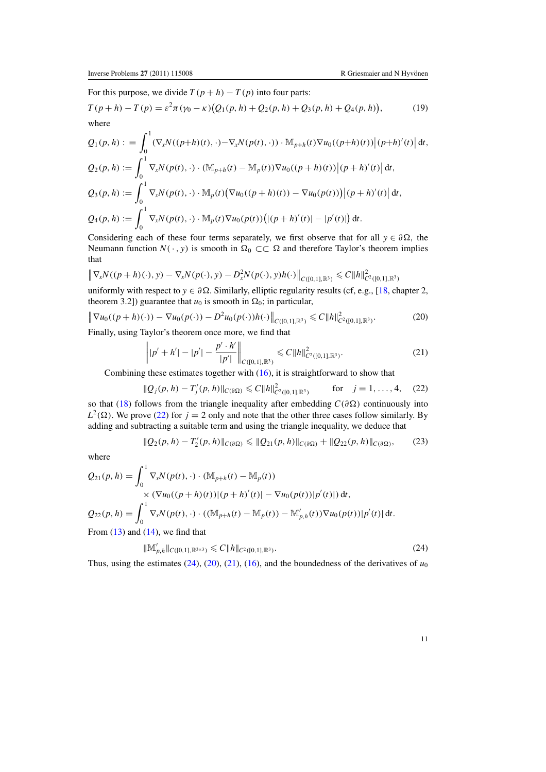<span id="page-11-0"></span>For this purpose, we divide  $T(p + h) - T(p)$  into four parts:

$$
T(p+h) - T(p) = \varepsilon^2 \pi (\gamma_0 - \kappa) (Q_1(p, h) + Q_2(p, h) + Q_3(p, h) + Q_4(p, h)),
$$
 (19)  
where

$$
Q_1(p, h) := \int_0^1 (\nabla_x N((p+h)(t), \cdot) - \nabla_x N(p(t), \cdot)) \cdot M_{p+h}(t) \nabla u_0((p+h)(t)) | (p+h)'(t) | dt,
$$
  
\n
$$
Q_2(p, h) := \int_0^1 \nabla_x N(p(t), \cdot) \cdot (M_{p+h}(t) - M_p(t)) \nabla u_0((p+h)(t)) | (p+h)'(t) | dt,
$$
  
\n
$$
Q_3(p, h) := \int_0^1 \nabla_x N(p(t), \cdot) \cdot M_p(t) (\nabla u_0((p+h)(t)) - \nabla u_0(p(t))) | (p+h)'(t) | dt,
$$
  
\n
$$
Q_4(p, h) := \int_0^1 \nabla_x N(p(t), \cdot) \cdot M_p(t) \nabla u_0(p(t)) (|(p+h)'(t)| - |p'(t)|) dt.
$$

Considering each of these four terms separately, we first observe that for all  $y \in \partial \Omega$ , the Neumann function  $N(\cdot, y)$  is smooth in  $\Omega_0 \subset\subset \Omega$  and therefore Taylor's theorem implies that

$$
\left\| \nabla_x N((p+h)(\cdot), y) - \nabla_x N(p(\cdot), y) - D_x^2 N(p(\cdot), y) h(\cdot) \right\|_{C([0,1], \mathbb{R}^3)} \leq C \|h\|_{C^2([0,1], \mathbb{R}^3)}^2
$$

uniformly with respect to  $y \in \partial \Omega$ . Similarly, elliptic regularity results (cf, e.g., [\[18](#page-22-0), chapter 2, theorem 3.2]) guarantee that  $u_0$  is smooth in  $\Omega_0$ ; in particular,

$$
\left\| \nabla u_0((p+h)(\cdot)) - \nabla u_0(p(\cdot)) - D^2 u_0(p(\cdot))h(\cdot) \right\|_{C([0,1],\mathbb{R}^3)} \leq C \|h\|_{C^2([0,1],\mathbb{R}^3)}^2.
$$
 (20)

Finally, using Taylor's theorem once more, we find that

$$
\left\| |p' + h'| - |p'| - \frac{p' \cdot h'}{|p'|} \right\|_{C([0,1], \mathbb{R}^3)} \leqslant C \|h\|_{C^2([0,1], \mathbb{R}^3)}^2.
$$
\n(21)

Combining these estimates together with [\(16\)](#page-10-0), it is straightforward to show that

$$
\|Q_j(p,h) - T'_j(p,h)\|_{C(\partial\Omega)} \leq C \|h\|_{C^2([0,1],\mathbb{R}^3)}^2 \quad \text{for} \quad j = 1,\ldots,4,\quad (22)
$$

so that [\(18\)](#page-10-0) follows from the triangle inequality after embedding  $C(\partial \Omega)$  continuously into  $L^2(\Omega)$ . We prove (22) for  $j = 2$  only and note that the other three cases follow similarly. By adding and subtracting a suitable term and using the triangle inequality, we deduce that

$$
\|Q_2(p,h) - T_2'(p,h)\|_{C(\partial\Omega)} \le \|Q_{21}(p,h)\|_{C(\partial\Omega)} + \|Q_{22}(p,h)\|_{C(\partial\Omega)},\tag{23}
$$

where

$$
Q_{21}(p, h) = \int_0^1 \nabla_x N(p(t), \cdot) \cdot (M_{p+h}(t) - M_p(t))
$$
  
×  $(\nabla u_0((p+h)(t))|(p+h)'(t)| - \nabla u_0(p(t))|p'(t)|) dt$ ,  

$$
Q_{22}(p, h) = \int_0^1 \nabla_x N(p(t), \cdot) \cdot ((M_{p+h}(t) - M_p(t)) - M_{p,h}'(t)) \nabla u_0(p(t))|p'(t)| dt.
$$
  
From (13) and (14), we find that

 $(13)$  and  $(14)$ ,

$$
\|\mathbb{M}'_{p,h}\|_{C([0,1],\mathbb{R}^{3\times 3})} \leq C \|h\|_{C^2([0,1],\mathbb{R}^3)}.
$$
\n(24)

Thus, using the estimates  $(24)$ ,  $(20)$ ,  $(21)$ ,  $(16)$ , and the boundedness of the derivatives of  $u_0$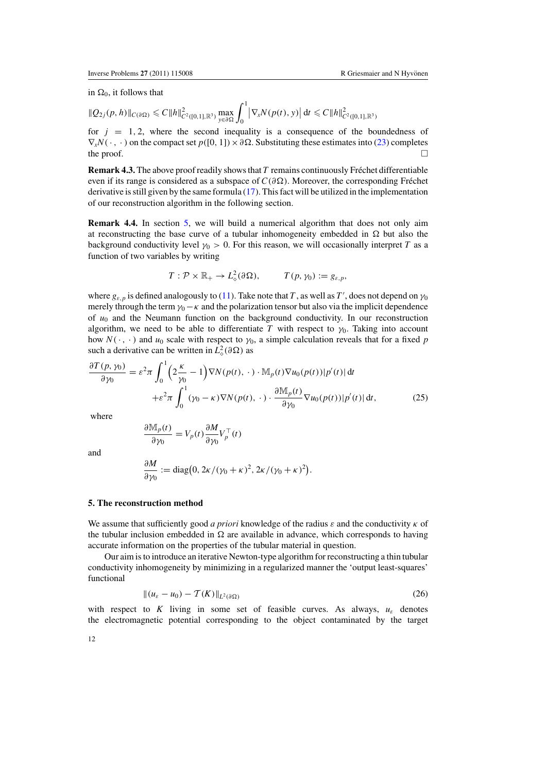<span id="page-12-0"></span>in  $\Omega_0$ , it follows that

$$
\|Q_{2j}(p,h)\|_{C(\partial\Omega)} \leq C \|h\|_{C^2([0,1],\mathbb{R}^3)}^2 \max_{y\in\partial\Omega} \int_0^1 \left|\nabla_x N(p(t),y)\right| \mathrm{d}t \leq C \|h\|_{C^2([0,1],\mathbb{R}^3)}^2
$$

for  $j = 1, 2$ , where the second inequality is a consequence of the boundedness of  $\nabla_x N(\cdot, \cdot)$  on the compact set  $p([0, 1]) \times \partial \Omega$ . Substituting these estimates into [\(23\)](#page-11-0) completes the proof.  $\Box$ 

**Remark 4.3.** The above proof readily shows that *T* remains continuously Frechet differentiable ´ even if its range is considered as a subspace of  $C(\partial \Omega)$ . Moreover, the corresponding Fréchet derivative is still given by the same formula [\(17\)](#page-10-0). This fact will be utilized in the implementation of our reconstruction algorithm in the following section.

**Remark 4.4.** In section 5, we will build a numerical algorithm that does not only aim at reconstructing the base curve of a tubular inhomogeneity embedded in  $\Omega$  but also the background conductivity level  $\gamma_0 > 0$ . For this reason, we will occasionally interpret *T* as a function of two variables by writing

$$
T: \mathcal{P} \times \mathbb{R}_+ \to L^2_{\diamond}(\partial \Omega), \qquad T(p, \gamma_0) := g_{\varepsilon, p},
$$

where  $g_{\varepsilon,p}$  is defined analogously to [\(11\)](#page-9-0). Take note that *T*, as well as *T*', does not depend on  $\gamma_0$ merely through the term  $\gamma_0 - \kappa$  and the polarization tensor but also via the implicit dependence of *u*<sup>0</sup> and the Neumann function on the background conductivity. In our reconstruction algorithm, we need to be able to differentiate *T* with respect to  $\gamma_0$ . Taking into account how  $N(\cdot, \cdot)$  and  $u_0$  scale with respect to  $\gamma_0$ , a simple calculation reveals that for a fixed p such a derivative can be written in  $L^2_{\diamond}(\partial \Omega)$  as

$$
\frac{\partial T(p, \gamma_0)}{\partial \gamma_0} = \varepsilon^2 \pi \int_0^1 \left( 2\frac{\kappa}{\gamma_0} - 1 \right) \nabla N(p(t), \cdot) \cdot \mathbb{M}_p(t) \nabla u_0(p(t)) |p'(t)| dt \n+ \varepsilon^2 \pi \int_0^1 (\gamma_0 - \kappa) \nabla N(p(t), \cdot) \cdot \frac{\partial \mathbb{M}_p(t)}{\partial \gamma_0} \nabla u_0(p(t)) |p'(t)| dt,
$$
\n(25)

where

$$
\frac{\partial M_p(t)}{\partial \gamma_0} = V_p(t) \frac{\partial M}{\partial \gamma_0} V_p^{\top}(t)
$$

and

$$
\frac{\partial M}{\partial \gamma_0} := \text{diag}\big(0, 2\kappa/(\gamma_0 + \kappa)^2, 2\kappa/(\gamma_0 + \kappa)^2\big).
$$

#### **5. The reconstruction method**

We assume that sufficiently good *a priori* knowledge of the radius  $\varepsilon$  and the conductivity  $\kappa$  of the tubular inclusion embedded in  $\Omega$  are available in advance, which corresponds to having accurate information on the properties of the tubular material in question.

Our aim is to introduce an iterative Newton-type algorithm for reconstructing a thin tubular conductivity inhomogeneity by minimizing in a regularized manner the 'output least-squares' functional

$$
\|(u_{\varepsilon}-u_0)-\mathcal{T}(K)\|_{L^2(\partial\Omega)}\tag{26}
$$

with respect to K living in some set of feasible curves. As always,  $u_{\varepsilon}$  denotes the electromagnetic potential corresponding to the object contaminated by the target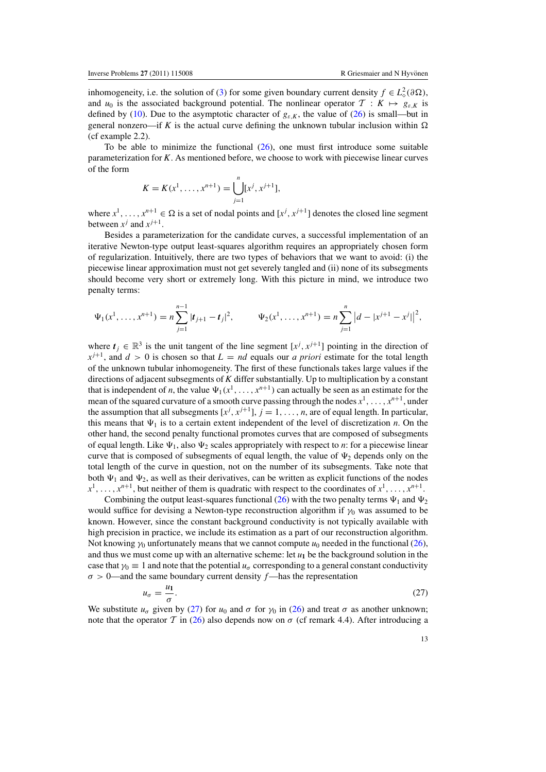inhomogeneity, i.e. the solution of [\(3\)](#page-3-0) for some given boundary current density  $f \in L^2_{\diamond}(\partial \Omega)$ , and  $u_0$  is the associated background potential. The nonlinear operator  $\mathcal{T}: K \mapsto g_{\varepsilon,K}$  is defined by [\(10\)](#page-8-0). Due to the asymptotic character of  $g_{\varepsilon,K}$ , the value of [\(26\)](#page-12-0) is small—but in general nonzero—if *K* is the actual curve defining the unknown tubular inclusion within  $\Omega$ (cf example 2.2).

To be able to minimize the functional  $(26)$ , one must first introduce some suitable parameterization for *K*. As mentioned before, we choose to work with piecewise linear curves of the form

$$
K = K(x1, ..., xn+1) = \bigcup_{j=1}^{n} [xj, xj+1],
$$

where  $x^1, \ldots, x^{n+1} \in \Omega$  is a set of nodal points and  $[x^j, x^{j+1}]$  denotes the closed line segment between  $x^j$  and  $x^{j+1}$ .

Besides a parameterization for the candidate curves, a successful implementation of an iterative Newton-type output least-squares algorithm requires an appropriately chosen form of regularization. Intuitively, there are two types of behaviors that we want to avoid: (i) the piecewise linear approximation must not get severely tangled and (ii) none of its subsegments should become very short or extremely long. With this picture in mind, we introduce two penalty terms:

$$
\Psi_1(x^1,\ldots,x^{n+1})=n\sum_{j=1}^{n-1}|t_{j+1}-t_j|^2,\qquad \Psi_2(x^1,\ldots,x^{n+1})=n\sum_{j=1}^n|d-|x^{j+1}-x^j|\Big|^2,
$$

where  $t_j \in \mathbb{R}^3$  is the unit tangent of the line segment  $[x^j, x^{j+1}]$  pointing in the direction of  $x^{j+1}$ , and  $d > 0$  is chosen so that  $L = nd$  equals our *a priori* estimate for the total length of the unknown tubular inhomogeneity. The first of these functionals takes large values if the directions of adjacent subsegments of *K* differ substantially. Up to multiplication by a constant that is independent of *n*, the value  $\Psi_1(x^1,\ldots,x^{n+1})$  can actually be seen as an estimate for the mean of the squared curvature of a smooth curve passing through the nodes  $x^1, \ldots, x^{n+1}$ , under the assumption that all subsegments  $[x^j, x^{j+1}]$ ,  $j = 1, \ldots, n$ , are of equal length. In particular, this means that  $\Psi_1$  is to a certain extent independent of the level of discretization *n*. On the other hand, the second penalty functional promotes curves that are composed of subsegments of equal length. Like  $\Psi_1$ , also  $\Psi_2$  scales appropriately with respect to *n*: for a piecewise linear curve that is composed of subsegments of equal length, the value of  $\Psi_2$  depends only on the total length of the curve in question, not on the number of its subsegments. Take note that both  $\Psi_1$  and  $\Psi_2$ , as well as their derivatives, can be written as explicit functions of the nodes  $x^1, \ldots, x^{n+1}$ , but neither of them is quadratic with respect to the coordinates of  $x^1, \ldots, x^{n+1}$ .

Combining the output least-squares functional [\(26\)](#page-12-0) with the two penalty terms  $\Psi_1$  and  $\Psi_2$ would suffice for devising a Newton-type reconstruction algorithm if  $\gamma_0$  was assumed to be known. However, since the constant background conductivity is not typically available with high precision in practice, we include its estimation as a part of our reconstruction algorithm. Not knowing  $\gamma_0$  unfortunately means that we cannot compute  $u_0$  needed in the functional [\(26\)](#page-12-0), and thus we must come up with an alternative scheme: let  $u_1$  be the background solution in the case that  $\gamma_0 \equiv 1$  and note that the potential  $u_\sigma$  corresponding to a general constant conductivity  $\sigma > 0$ —and the same boundary current density  $f$ —has the representation

$$
u_{\sigma} = \frac{u_1}{\sigma}.\tag{27}
$$

We substitute  $u_{\sigma}$  given by (27) for  $u_0$  and  $\sigma$  for  $\gamma_0$  in [\(26\)](#page-12-0) and treat  $\sigma$  as another unknown; note that the operator T in [\(26\)](#page-12-0) also depends now on  $\sigma$  (cf remark 4.4). After introducing a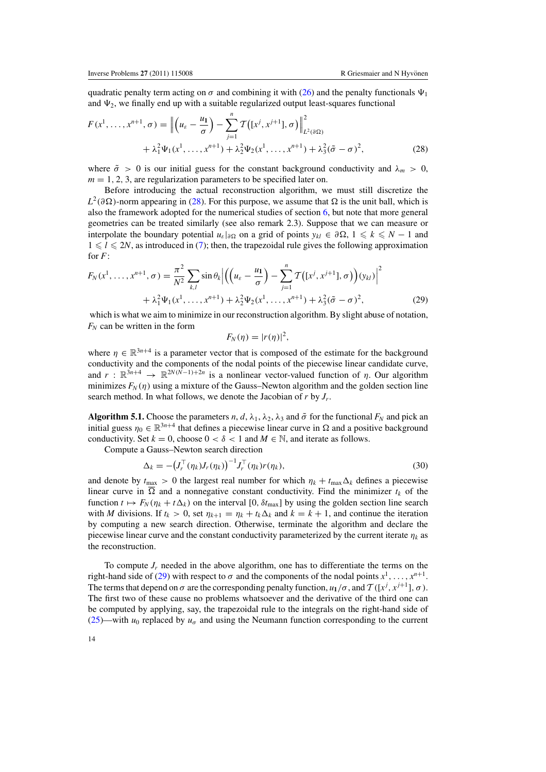<span id="page-14-0"></span>quadratic penalty term acting on  $\sigma$  and combining it with [\(26\)](#page-12-0) and the penalty functionals  $\Psi_1$ and  $\Psi_2$ , we finally end up with a suitable regularized output least-squares functional

$$
F(x^1, ..., x^{n+1}, \sigma) = \left\| \left( u_{\varepsilon} - \frac{u_1}{\sigma} \right) - \sum_{j=1}^n \mathcal{T} \left( [x^j, x^{j+1}], \sigma \right) \right\|_{L^2(\partial \Omega)}^2 + \lambda_1^2 \Psi_1(x^1, ..., x^{n+1}) + \lambda_2^2 \Psi_2(x^1, ..., x^{n+1}) + \lambda_3^2 (\tilde{\sigma} - \sigma)^2,
$$
 (28)

where  $\tilde{\sigma} > 0$  is our initial guess for the constant background conductivity and  $\lambda_m > 0$ ,  $m = 1, 2, 3$ , are regularization parameters to be specified later on.

Before introducing the actual reconstruction algorithm, we must still discretize the  $L^2(\partial\Omega)$ -norm appearing in (28). For this purpose, we assume that  $\Omega$  is the unit ball, which is also the framework adopted for the numerical studies of section [6,](#page-15-0) but note that more general geometries can be treated similarly (see also remark 2.3). Suppose that we can measure or interpolate the boundary potential  $u_{\varepsilon}|_{\partial\Omega}$  on a grid of points  $y_{kl} \in \partial\Omega$ ,  $1 \le k \le N - 1$  and  $1 \le l \le 2N$ , as introduced in [\(7\)](#page-5-0); then, the trapezoidal rule gives the following approximation for *F*:

$$
F_N(x^1, \dots, x^{n+1}, \sigma) = \frac{\pi^2}{N^2} \sum_{k,l} \sin \theta_k \Big| \Big( \Big( u_\varepsilon - \frac{u_1}{\sigma} \Big) - \sum_{j=1}^n \mathcal{T} \big( [x^j, x^{j+1}], \sigma \big) \Big) (y_{kl}) \Big|^2 + \lambda_1^2 \Psi_1(x^1, \dots, x^{n+1}) + \lambda_2^2 \Psi_2(x^1, \dots, x^{n+1}) + \lambda_3^2 (\tilde{\sigma} - \sigma)^2,
$$
 (29)

which is what we aim to minimize in our reconstruction algorithm. By slight abuse of notation,  $F_N$  can be written in the form

$$
F_N(\eta) = |r(\eta)|^2,
$$

where  $\eta \in \mathbb{R}^{3n+4}$  is a parameter vector that is composed of the estimate for the background conductivity and the components of the nodal points of the piecewise linear candidate curve, and  $r : \mathbb{R}^{3n+4} \to \mathbb{R}^{2N(\hat{N}-1)+2n}$  is a nonlinear vector-valued function of  $\eta$ . Our algorithm minimizes  $F_N(\eta)$  using a mixture of the Gauss–Newton algorithm and the golden section line search method. In what follows, we denote the Jacobian of *r* by *Jr*.

**Algorithm 5.1.** Choose the parameters *n*, *d*,  $\lambda_1$ ,  $\lambda_2$ ,  $\lambda_3$  and  $\tilde{\sigma}$  for the functional  $F_N$  and pick an initial guess  $\eta_0 \in \mathbb{R}^{3n+4}$  that defines a piecewise linear curve in  $\Omega$  and a positive background conductivity. Set  $k = 0$ , choose  $0 < \delta < 1$  and  $M \in \mathbb{N}$ , and iterate as follows.

Compute a Gauss–Newton search direction

$$
\Delta_k = -\left(J_r^\top(\eta_k)J_r(\eta_k)\right)^{-1}J_r^\top(\eta_k)r(\eta_k),\tag{30}
$$

and denote by  $t_{\text{max}} > 0$  the largest real number for which  $\eta_k + t_{\text{max}} \Delta_k$  defines a piecewise linear curve in  $\overline{\Omega}$  and a nonnegative constant conductivity. Find the minimizer  $t_k$  of the function  $t \mapsto F_N(\eta_k + t\Delta_k)$  on the interval [0,  $\delta t_{\text{max}}$ ] by using the golden section line search with *M* divisions. If  $t_k > 0$ , set  $\eta_{k+1} = \eta_k + t_k \Delta_k$  and  $k = k + 1$ , and continue the iteration by computing a new search direction. Otherwise, terminate the algorithm and declare the piecewise linear curve and the constant conductivity parameterized by the current iterate  $\eta_k$  as the reconstruction.

To compute  $J_r$  needed in the above algorithm, one has to differentiate the terms on the right-hand side of (29) with respect to  $\sigma$  and the components of the nodal points  $x^1, \ldots, x^{n+1}$ . The terms that depend on  $\sigma$  are the corresponding penalty function,  $u_1/\sigma$ , and  $\mathcal{T}([x^j, x^{j+1}], \sigma)$ . The first two of these cause no problems whatsoever and the derivative of the third one can be computed by applying, say, the trapezoidal rule to the integrals on the right-hand side of [\(25\)](#page-12-0)—with  $u_0$  replaced by  $u_\sigma$  and using the Neumann function corresponding to the current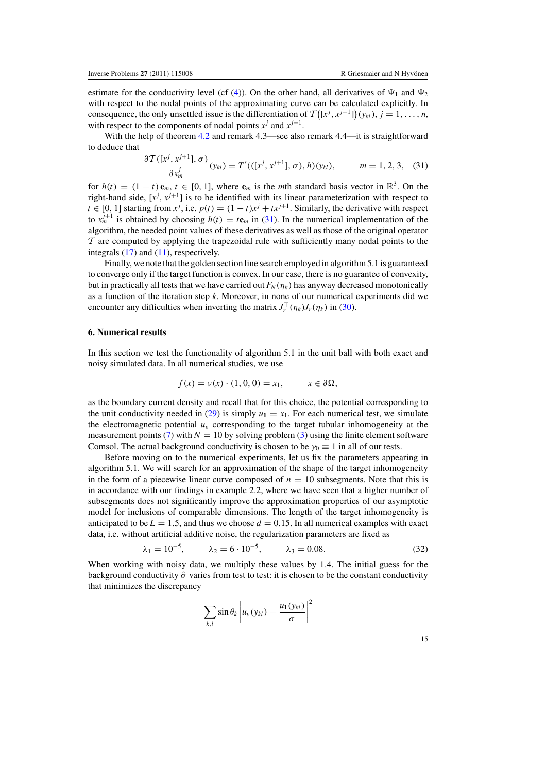<span id="page-15-0"></span>estimate for the conductivity level (cf [\(4\)](#page-3-0)). On the other hand, all derivatives of  $\Psi_1$  and  $\Psi_2$ with respect to the nodal points of the approximating curve can be calculated explicitly. In consequence, the only unsettled issue is the differentiation of  $\mathcal{T}([x^j, x^{j+1}]) (y_{kl}), j = 1, ..., n$ , with respect to the components of nodal points  $x^j$  and  $x^{j+1}$ .

With the help of theorem [4.2](#page-10-0) and remark 4.3—see also remark 4.4—it is straightforward to deduce that

$$
\frac{\partial \mathcal{T}([x^j, x^{j+1}], \sigma)}{\partial x_m^j}(y_{kl}) = T'(([x^j, x^{j+1}], \sigma), h)(y_{kl}), \qquad m = 1, 2, 3, (31)
$$

for  $h(t) = (1 - t) e_m$ ,  $t \in [0, 1]$ , where  $e_m$  is the *m*th standard basis vector in  $\mathbb{R}^3$ . On the right-hand side,  $[x^j, x^{j+1}]$  is to be identified with its linear parameterization with respect to *t* ∈ [0, 1] starting from  $x^j$ , i.e.  $p(t) = (1 - t)x^j + tx^{j+1}$ . Similarly, the derivative with respect to  $x_m^{j+1}$  is obtained by choosing  $h(t) = t e_m$  in (31). In the numerical implementation of the algorithm, the needed point values of these derivatives as well as those of the original operator  $\tau$  are computed by applying the trapezoidal rule with sufficiently many nodal points to the integrals [\(17\)](#page-10-0) and [\(11\)](#page-9-0), respectively.

Finally, we note that the golden section line search employed in algorithm 5.1 is guaranteed to converge only if the target function is convex. In our case, there is no guarantee of convexity, but in practically all tests that we have carried out  $F_N(\eta_k)$  has anyway decreased monotonically as a function of the iteration step *k*. Moreover, in none of our numerical experiments did we encounter any difficulties when inverting the matrix  $J_r^{\top}(\eta_k)J_r(\eta_k)$  in [\(30\)](#page-14-0).

# **6. Numerical results**

In this section we test the functionality of algorithm 5.1 in the unit ball with both exact and noisy simulated data. In all numerical studies, we use

$$
f(x) = v(x) \cdot (1, 0, 0) = x_1, \qquad x \in \partial \Omega,
$$

as the boundary current density and recall that for this choice, the potential corresponding to the unit conductivity needed in [\(29\)](#page-14-0) is simply  $u_1 = x_1$ . For each numerical test, we simulate the electromagnetic potential  $u_{\varepsilon}$  corresponding to the target tubular inhomogeneity at the measurement points [\(7\)](#page-5-0) with  $N = 10$  by solving problem [\(3\)](#page-3-0) using the finite element software Comsol. The actual background conductivity is chosen to be  $\gamma_0 \equiv 1$  in all of our tests.

Before moving on to the numerical experiments, let us fix the parameters appearing in algorithm 5.1. We will search for an approximation of the shape of the target inhomogeneity in the form of a piecewise linear curve composed of  $n = 10$  subsegments. Note that this is in accordance with our findings in example 2.2, where we have seen that a higher number of subsegments does not significantly improve the approximation properties of our asymptotic model for inclusions of comparable dimensions. The length of the target inhomogeneity is anticipated to be  $L = 1.5$ , and thus we choose  $d = 0.15$ . In all numerical examples with exact data, i.e. without artificial additive noise, the regularization parameters are fixed as

$$
\lambda_1 = 10^{-5}, \qquad \lambda_2 = 6 \cdot 10^{-5}, \qquad \lambda_3 = 0.08. \tag{32}
$$

When working with noisy data, we multiply these values by 1.4. The initial guess for the background conductivity  $\tilde{\sigma}$  varies from test to test: it is chosen to be the constant conductivity that minimizes the discrepancy

$$
\sum_{k,l} \sin \theta_k \left| u_{\varepsilon}(y_{kl}) - \frac{u_1(y_{kl})}{\sigma} \right|^2
$$

15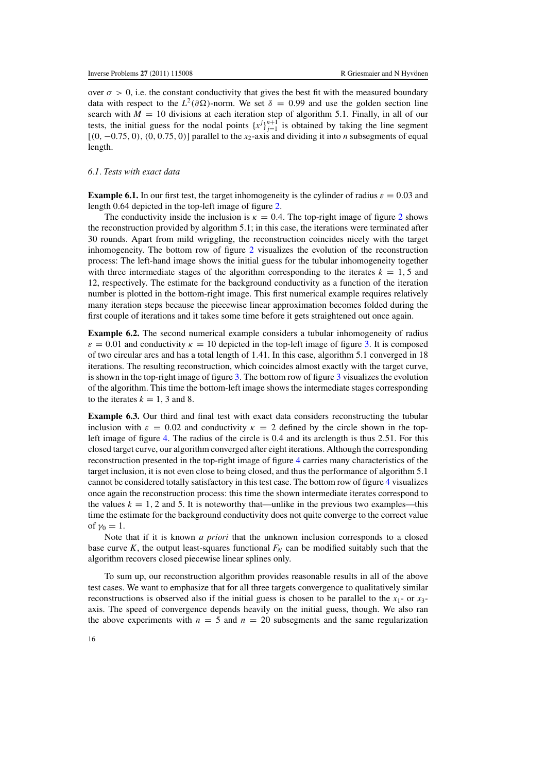<span id="page-16-0"></span>over  $\sigma > 0$ , i.e. the constant conductivity that gives the best fit with the measured boundary data with respect to the  $L^2(\partial\Omega)$ -norm. We set  $\delta = 0.99$  and use the golden section line search with  $M = 10$  divisions at each iteration step of algorithm 5.1. Finally, in all of our tests, the initial guess for the nodal points  $\{x^j\}_{j=1}^{n+1}$  is obtained by taking the line segment [(0, −0.75, 0), (0, 0.75, 0)] parallel to the *x*2-axis and dividing it into *n* subsegments of equal length.

#### *6.1. Tests with exact data*

**Example 6.1.** In our first test, the target inhomogeneity is the cylinder of radius  $\varepsilon = 0.03$  and length 0.64 depicted in the top-left image of figure [2.](#page-17-0)

The conductivity inside the inclusion is  $\kappa = 0.4$ . The top-right image of figure [2](#page-17-0) shows the reconstruction provided by algorithm 5.1; in this case, the iterations were terminated after 30 rounds. Apart from mild wriggling, the reconstruction coincides nicely with the target inhomogeneity. The bottom row of figure [2](#page-17-0) visualizes the evolution of the reconstruction process: The left-hand image shows the initial guess for the tubular inhomogeneity together with three intermediate stages of the algorithm corresponding to the iterates  $k = 1, 5$  and 12, respectively. The estimate for the background conductivity as a function of the iteration number is plotted in the bottom-right image. This first numerical example requires relatively many iteration steps because the piecewise linear approximation becomes folded during the first couple of iterations and it takes some time before it gets straightened out once again.

**Example 6.2.** The second numerical example considers a tubular inhomogeneity of radius  $\varepsilon = 0.01$  and conductivity  $\kappa = 10$  depicted in the top-left image of figure [3.](#page-18-0) It is composed of two circular arcs and has a total length of 1.41. In this case, algorithm 5.1 converged in 18 iterations. The resulting reconstruction, which coincides almost exactly with the target curve, is shown in the top-right image of figure [3.](#page-18-0) The bottom row of figure [3](#page-18-0) visualizes the evolution of the algorithm. This time the bottom-left image shows the intermediate stages corresponding to the iterates  $k = 1, 3$  and 8.

**Example 6.3.** Our third and final test with exact data considers reconstructing the tubular inclusion with  $\varepsilon = 0.02$  and conductivity  $\kappa = 2$  defined by the circle shown in the topleft image of figure [4.](#page-19-0) The radius of the circle is 0.4 and its arclength is thus 2.51. For this closed target curve, our algorithm converged after eight iterations. Although the corresponding reconstruction presented in the top-right image of figure [4](#page-19-0) carries many characteristics of the target inclusion, it is not even close to being closed, and thus the performance of algorithm 5.1 cannot be considered totally satisfactory in this test case. The bottom row of figure [4](#page-19-0) visualizes once again the reconstruction process: this time the shown intermediate iterates correspond to the values  $k = 1, 2$  and 5. It is noteworthy that—unlike in the previous two examples—this time the estimate for the background conductivity does not quite converge to the correct value of  $\gamma_0 = 1$ .

Note that if it is known *a priori* that the unknown inclusion corresponds to a closed base curve *K*, the output least-squares functional  $F_N$  can be modified suitably such that the algorithm recovers closed piecewise linear splines only.

To sum up, our reconstruction algorithm provides reasonable results in all of the above test cases. We want to emphasize that for all three targets convergence to qualitatively similar reconstructions is observed also if the initial guess is chosen to be parallel to the  $x_1$ - or  $x_3$ axis. The speed of convergence depends heavily on the initial guess, though. We also ran the above experiments with  $n = 5$  and  $n = 20$  subsegments and the same regularization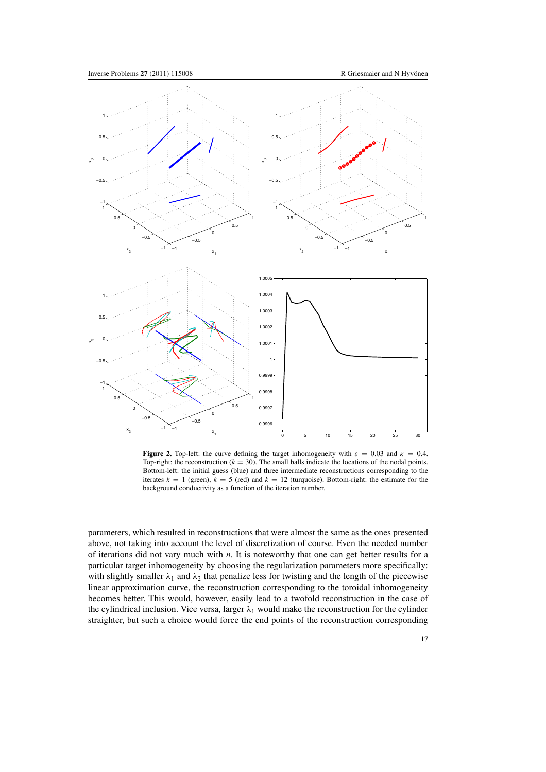<span id="page-17-0"></span>

**Figure 2.** Top-left: the curve defining the target inhomogeneity with  $\varepsilon = 0.03$  and  $\kappa = 0.4$ . Top-right: the reconstruction  $(k = 30)$ . The small balls indicate the locations of the nodal points. Bottom-left: the initial guess (blue) and three intermediate reconstructions corresponding to the iterates  $k = 1$  (green),  $k = 5$  (red) and  $k = 12$  (turquoise). Bottom-right: the estimate for the background conductivity as a function of the iteration number.

parameters, which resulted in reconstructions that were almost the same as the ones presented above, not taking into account the level of discretization of course. Even the needed number of iterations did not vary much with *n*. It is noteworthy that one can get better results for a particular target inhomogeneity by choosing the regularization parameters more specifically: with slightly smaller  $\lambda_1$  and  $\lambda_2$  that penalize less for twisting and the length of the piecewise linear approximation curve, the reconstruction corresponding to the toroidal inhomogeneity becomes better. This would, however, easily lead to a twofold reconstruction in the case of the cylindrical inclusion. Vice versa, larger  $\lambda_1$  would make the reconstruction for the cylinder straighter, but such a choice would force the end points of the reconstruction corresponding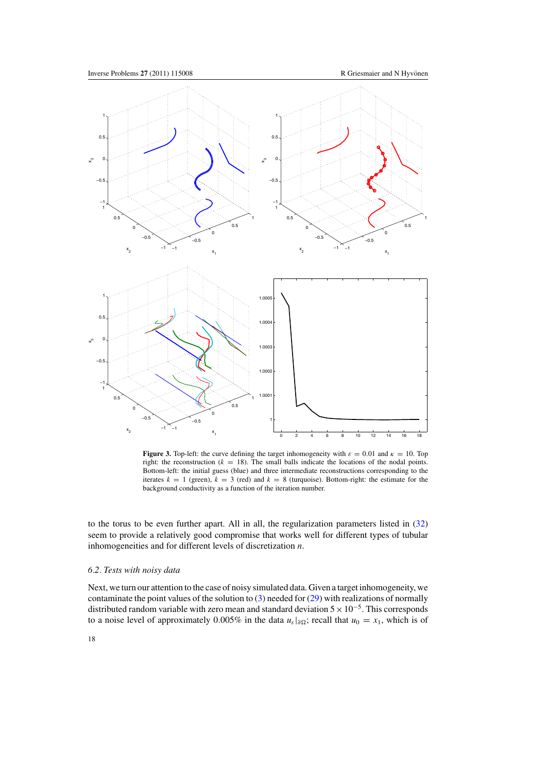<span id="page-18-0"></span>

**Figure 3.** Top-left: the curve defining the target inhomogeneity with  $\varepsilon = 0.01$  and  $\kappa = 10$ . Top right: the reconstruction  $(k = 18)$ . The small balls indicate the locations of the nodal points. Bottom-left: the initial guess (blue) and three intermediate reconstructions corresponding to the iterates  $k = 1$  (green),  $k = 3$  (red) and  $k = 8$  (turquoise). Bottom-right: the estimate for the background conductivity as a function of the iteration number.

to the torus to be even further apart. All in all, the regularization parameters listed in [\(32\)](#page-15-0) seem to provide a relatively good compromise that works well for different types of tubular inhomogeneities and for different levels of discretization *n*.

#### *6.2. Tests with noisy data*

Next, we turn our attention to the case of noisy simulated data. Given a target inhomogeneity, we contaminate the point values of the solution to  $(3)$  needed for  $(29)$  with realizations of normally distributed random variable with zero mean and standard deviation  $5 \times 10^{-5}$ . This corresponds to a noise level of approximately 0.005% in the data  $u_{\varepsilon}|_{\partial\Omega}$ ; recall that  $u_0 = x_1$ , which is of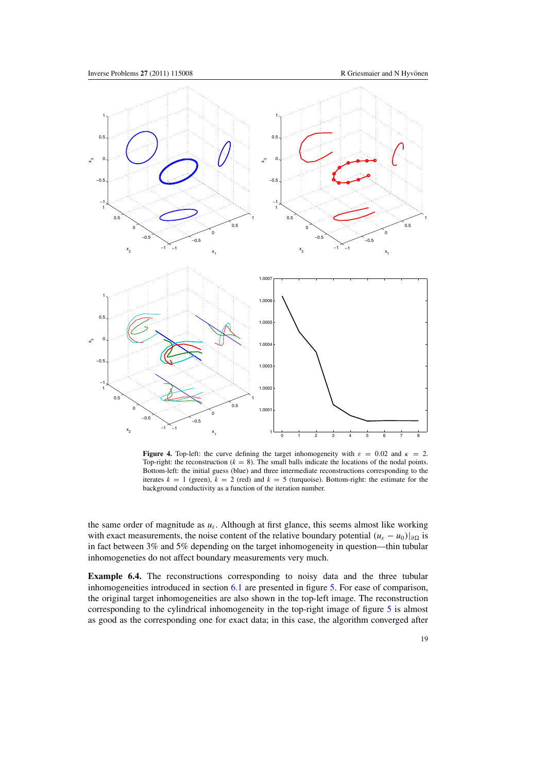<span id="page-19-0"></span>

**Figure 4.** Top-left: the curve defining the target inhomogeneity with  $\varepsilon = 0.02$  and  $\kappa = 2$ . Top-right: the reconstruction  $(k = 8)$ . The small balls indicate the locations of the nodal points. Bottom-left: the initial guess (blue) and three intermediate reconstructions corresponding to the iterates  $k = 1$  (green),  $k = 2$  (red) and  $k = 5$  (turquoise). Bottom-right: the estimate for the background conductivity as a function of the iteration number.

the same order of magnitude as  $u_{\varepsilon}$ . Although at first glance, this seems almost like working with exact measurements, the noise content of the relative boundary potential  $(u_{\varepsilon} - u_0)|_{\partial \Omega}$  is in fact between 3% and 5% depending on the target inhomogeneity in question—thin tubular inhomogeneties do not affect boundary measurements very much.

**Example 6.4.** The reconstructions corresponding to noisy data and the three tubular inhomogeneities introduced in section [6.1](#page-16-0) are presented in figure [5.](#page-20-0) For ease of comparison, the original target inhomogeneities are also shown in the top-left image. The reconstruction corresponding to the cylindrical inhomogeneity in the top-right image of figure [5](#page-20-0) is almost as good as the corresponding one for exact data; in this case, the algorithm converged after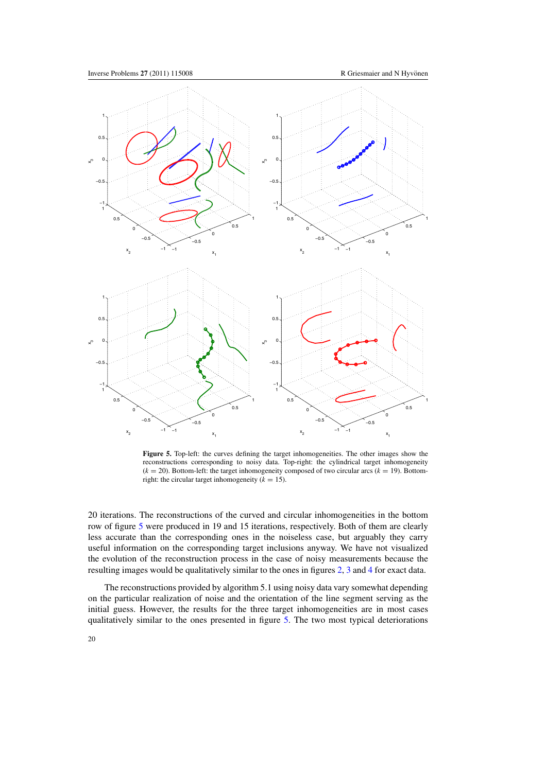<span id="page-20-0"></span>

**Figure 5.** Top-left: the curves defining the target inhomogeneities. The other images show the reconstructions corresponding to noisy data. Top-right: the cylindrical target inhomogeneity  $(k = 20)$ . Bottom-left: the target inhomogeneity composed of two circular arcs  $(k = 19)$ . Bottomright: the circular target inhomogeneity  $(k = 15)$ .

20 iterations. The reconstructions of the curved and circular inhomogeneities in the bottom row of figure 5 were produced in 19 and 15 iterations, respectively. Both of them are clearly less accurate than the corresponding ones in the noiseless case, but arguably they carry useful information on the corresponding target inclusions anyway. We have not visualized the evolution of the reconstruction process in the case of noisy measurements because the resulting images would be qualitatively similar to the ones in figures [2,](#page-17-0) [3](#page-18-0) and [4](#page-19-0) for exact data.

The reconstructions provided by algorithm 5.1 using noisy data vary somewhat depending on the particular realization of noise and the orientation of the line segment serving as the initial guess. However, the results for the three target inhomogeneities are in most cases qualitatively similar to the ones presented in figure 5. The two most typical deteriorations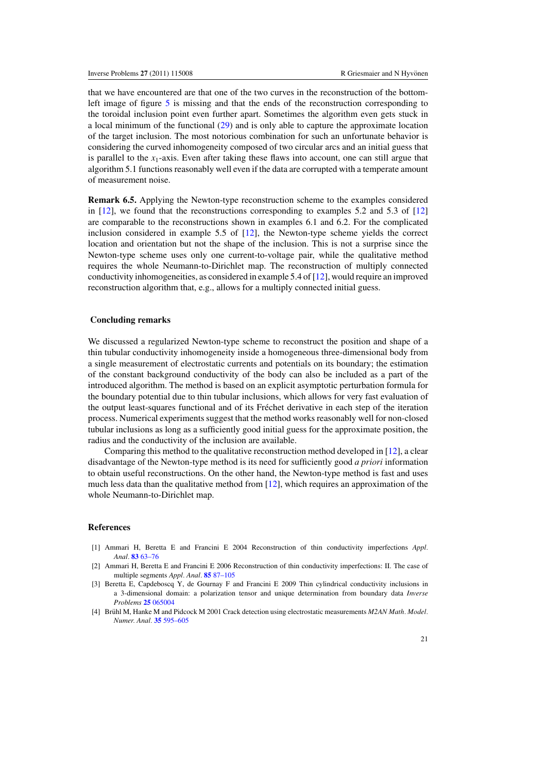<span id="page-21-0"></span>that we have encountered are that one of the two curves in the reconstruction of the bottom-left image of figure [5](#page-20-0) is missing and that the ends of the reconstruction corresponding to the toroidal inclusion point even further apart. Sometimes the algorithm even gets stuck in a local minimum of the functional [\(29\)](#page-14-0) and is only able to capture the approximate location of the target inclusion. The most notorious combination for such an unfortunate behavior is considering the curved inhomogeneity composed of two circular arcs and an initial guess that is parallel to the  $x_1$ -axis. Even after taking these flaws into account, one can still argue that algorithm 5.1 functions reasonably well even if the data are corrupted with a temperate amount of measurement noise.

**Remark 6.5.** Applying the Newton-type reconstruction scheme to the examples considered in [\[12\]](#page-22-0), we found that the reconstructions corresponding to examples 5.2 and 5.3 of [\[12](#page-22-0)] are comparable to the reconstructions shown in examples 6.1 and 6.2. For the complicated inclusion considered in example 5.5 of [\[12](#page-22-0)], the Newton-type scheme yields the correct location and orientation but not the shape of the inclusion. This is not a surprise since the Newton-type scheme uses only one current-to-voltage pair, while the qualitative method requires the whole Neumann-to-Dirichlet map. The reconstruction of multiply connected conductivity inhomogeneities, as considered in example 5.4 of [\[12\]](#page-22-0), would require an improved reconstruction algorithm that, e.g., allows for a multiply connected initial guess.

#### **Concluding remarks**

We discussed a regularized Newton-type scheme to reconstruct the position and shape of a thin tubular conductivity inhomogeneity inside a homogeneous three-dimensional body from a single measurement of electrostatic currents and potentials on its boundary; the estimation of the constant background conductivity of the body can also be included as a part of the introduced algorithm. The method is based on an explicit asymptotic perturbation formula for the boundary potential due to thin tubular inclusions, which allows for very fast evaluation of the output least-squares functional and of its Frechet derivative in each step of the iteration ´ process. Numerical experiments suggest that the method works reasonably well for non-closed tubular inclusions as long as a sufficiently good initial guess for the approximate position, the radius and the conductivity of the inclusion are available.

Comparing this method to the qualitative reconstruction method developed in [\[12\]](#page-22-0), a clear disadvantage of the Newton-type method is its need for sufficiently good *a priori* information to obtain useful reconstructions. On the other hand, the Newton-type method is fast and uses much less data than the qualitative method from [\[12](#page-22-0)], which requires an approximation of the whole Neumann-to-Dirichlet map.

#### **References**

- [1] Ammari H, Beretta E and Francini E 2004 Reconstruction of thin conductivity imperfections *Appl. Anal.* **83** [63–76](http://dx.doi.org/10.1080/00036810310001620090)
- [2] Ammari H, Beretta E and Francini E 2006 Reconstruction of thin conductivity imperfections: II. The case of multiple segments *Appl. Anal.* **85** [87–105](http://dx.doi.org/10.1080/00036810500277736)
- [3] Beretta E, Capdeboscq Y, de Gournay F and Francini E 2009 Thin cylindrical conductivity inclusions in a 3-dimensional domain: a polarization tensor and unique determination from boundary data *Inverse Problems* **25** [065004](http://dx.doi.org/10.1088/0266-5611/25/6/065004)
- [4] Brühl M, Hanke M and Pidcock M 2001 Crack detection using electrostatic measurements *M2AN Math. Model. Numer. Anal.* **35** [595–605](http://dx.doi.org/10.1051/m2an:2001128)